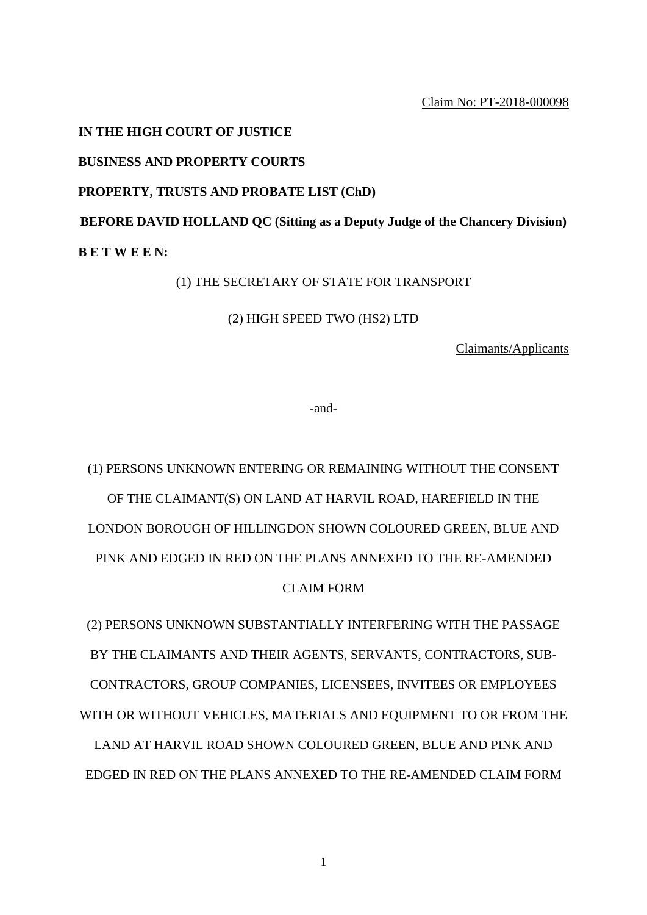**IN THE HIGH COURT OF JUSTICE** 

**BUSINESS AND PROPERTY COURTS**

# **PROPERTY, TRUSTS AND PROBATE LIST (ChD)**

**BEFORE DAVID HOLLAND QC (Sitting as a Deputy Judge of the Chancery Division) B E T W E E N:**

(1) THE SECRETARY OF STATE FOR TRANSPORT

(2) HIGH SPEED TWO (HS2) LTD

Claimants/Applicants

-and-

(1) PERSONS UNKNOWN ENTERING OR REMAINING WITHOUT THE CONSENT OF THE CLAIMANT(S) ON LAND AT HARVIL ROAD, HAREFIELD IN THE LONDON BOROUGH OF HILLINGDON SHOWN COLOURED GREEN, BLUE AND PINK AND EDGED IN RED ON THE PLANS ANNEXED TO THE RE-AMENDED CLAIM FORM

(2) PERSONS UNKNOWN SUBSTANTIALLY INTERFERING WITH THE PASSAGE BY THE CLAIMANTS AND THEIR AGENTS, SERVANTS, CONTRACTORS, SUB-CONTRACTORS, GROUP COMPANIES, LICENSEES, INVITEES OR EMPLOYEES WITH OR WITHOUT VEHICLES, MATERIALS AND EQUIPMENT TO OR FROM THE LAND AT HARVIL ROAD SHOWN COLOURED GREEN, BLUE AND PINK AND EDGED IN RED ON THE PLANS ANNEXED TO THE RE-AMENDED CLAIM FORM

1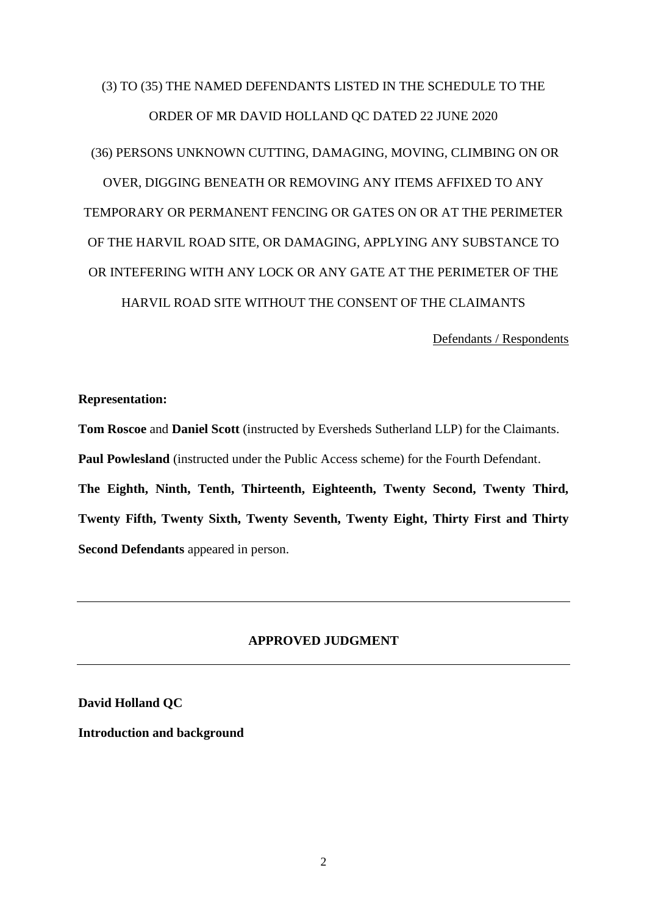# (3) TO (35) THE NAMED DEFENDANTS LISTED IN THE SCHEDULE TO THE ORDER OF MR DAVID HOLLAND QC DATED 22 JUNE 2020

# (36) PERSONS UNKNOWN CUTTING, DAMAGING, MOVING, CLIMBING ON OR OVER, DIGGING BENEATH OR REMOVING ANY ITEMS AFFIXED TO ANY TEMPORARY OR PERMANENT FENCING OR GATES ON OR AT THE PERIMETER OF THE HARVIL ROAD SITE, OR DAMAGING, APPLYING ANY SUBSTANCE TO OR INTEFERING WITH ANY LOCK OR ANY GATE AT THE PERIMETER OF THE HARVIL ROAD SITE WITHOUT THE CONSENT OF THE CLAIMANTS

Defendants / Respondents

# **Representation:**

**Tom Roscoe** and **Daniel Scott** (instructed by Eversheds Sutherland LLP) for the Claimants. **Paul Powlesland** (instructed under the Public Access scheme) for the Fourth Defendant. **The Eighth, Ninth, Tenth, Thirteenth, Eighteenth, Twenty Second, Twenty Third, Twenty Fifth, Twenty Sixth, Twenty Seventh, Twenty Eight, Thirty First and Thirty Second Defendants** appeared in person.

# **APPROVED JUDGMENT**

**David Holland QC**

### **Introduction and background**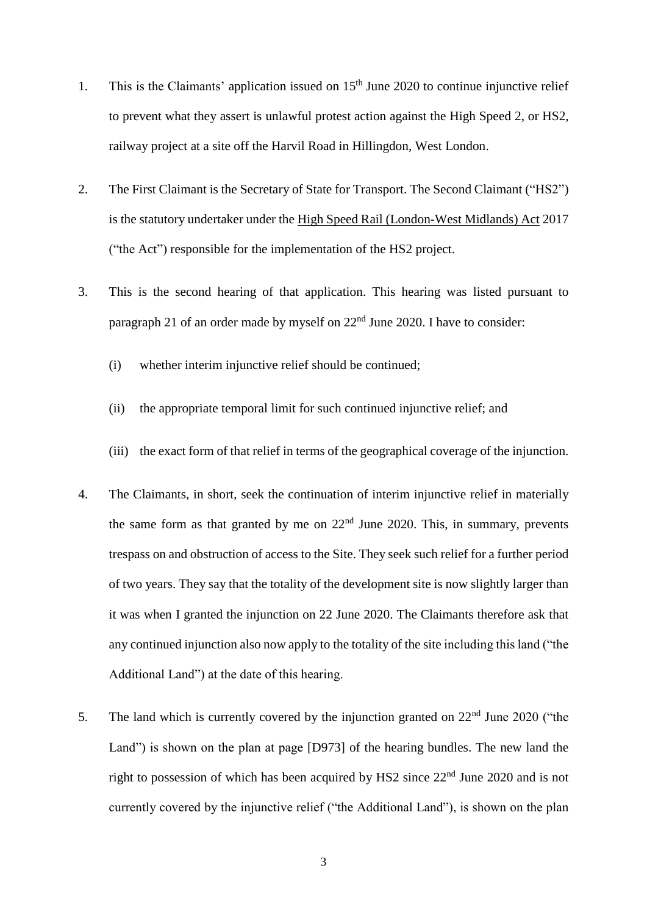- 1. This is the Claimants' application issued on  $15<sup>th</sup>$  June 2020 to continue injunctive relief to prevent what they assert is unlawful protest action against the High Speed 2, or HS2, railway project at a site off the Harvil Road in Hillingdon, West London.
- 2. The First Claimant is the Secretary of State for Transport. The Second Claimant ("HS2") is the statutory undertaker under the High Speed Rail (London-West Midlands) Act 2017 ("the Act") responsible for the implementation of the HS2 project.
- 3. This is the second hearing of that application. This hearing was listed pursuant to paragraph 21 of an order made by myself on 22nd June 2020. I have to consider:
	- (i) whether interim injunctive relief should be continued;
	- (ii) the appropriate temporal limit for such continued injunctive relief; and
	- (iii) the exact form of that relief in terms of the geographical coverage of the injunction.
- 4. The Claimants, in short, seek the continuation of interim injunctive relief in materially the same form as that granted by me on  $22<sup>nd</sup>$  June 2020. This, in summary, prevents trespass on and obstruction of access to the Site. They seek such relief for a further period of two years. They say that the totality of the development site is now slightly larger than it was when I granted the injunction on 22 June 2020. The Claimants therefore ask that any continued injunction also now apply to the totality of the site including this land ("the Additional Land") at the date of this hearing.
- 5. The land which is currently covered by the injunction granted on 22<sup>nd</sup> June 2020 ("the Land") is shown on the plan at page [D973] of the hearing bundles. The new land the right to possession of which has been acquired by HS2 since 22nd June 2020 and is not currently covered by the injunctive relief ("the Additional Land"), is shown on the plan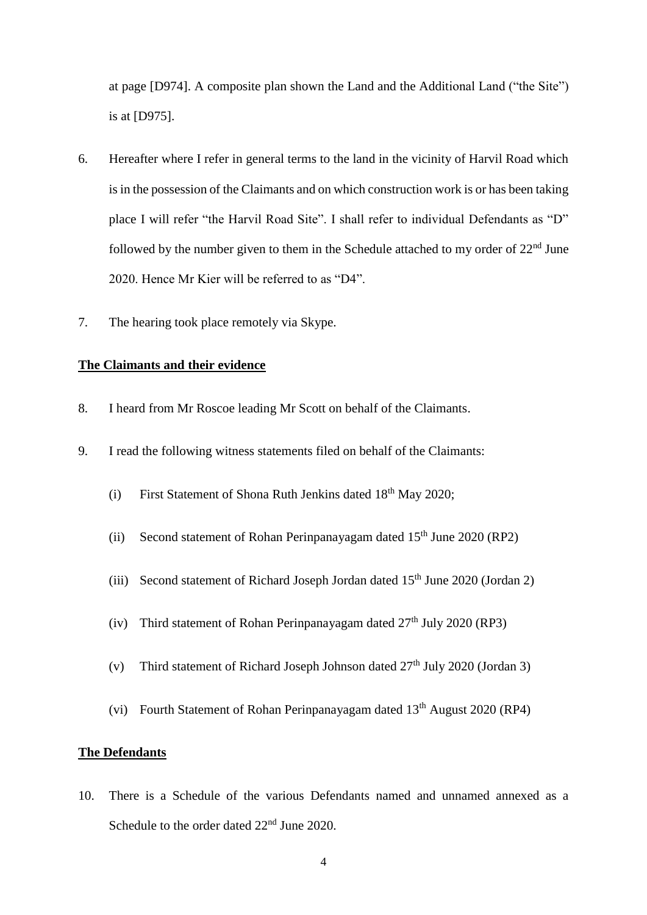at page [D974]. A composite plan shown the Land and the Additional Land ("the Site") is at [D975].

- 6. Hereafter where I refer in general terms to the land in the vicinity of Harvil Road which is in the possession of the Claimants and on which construction work is or has been taking place I will refer "the Harvil Road Site". I shall refer to individual Defendants as "D" followed by the number given to them in the Schedule attached to my order of  $22<sup>nd</sup>$  June 2020. Hence Mr Kier will be referred to as "D4".
- 7. The hearing took place remotely via Skype.

# **The Claimants and their evidence**

- 8. I heard from Mr Roscoe leading Mr Scott on behalf of the Claimants.
- 9. I read the following witness statements filed on behalf of the Claimants:
	- (i) First Statement of Shona Ruth Jenkins dated  $18<sup>th</sup>$  May 2020;
	- (ii) Second statement of Rohan Perinpanayagam dated  $15<sup>th</sup>$  June 2020 (RP2)
	- (iii) Second statement of Richard Joseph Jordan dated  $15<sup>th</sup>$  June 2020 (Jordan 2)
	- (iv) Third statement of Rohan Perinpanayagam dated  $27<sup>th</sup>$  July 2020 (RP3)
	- (v) Third statement of Richard Joseph Johnson dated  $27<sup>th</sup>$  July 2020 (Jordan 3)
	- (vi) Fourth Statement of Rohan Perinpanayagam dated  $13<sup>th</sup>$  August 2020 (RP4)

# **The Defendants**

10. There is a Schedule of the various Defendants named and unnamed annexed as a Schedule to the order dated 22<sup>nd</sup> June 2020.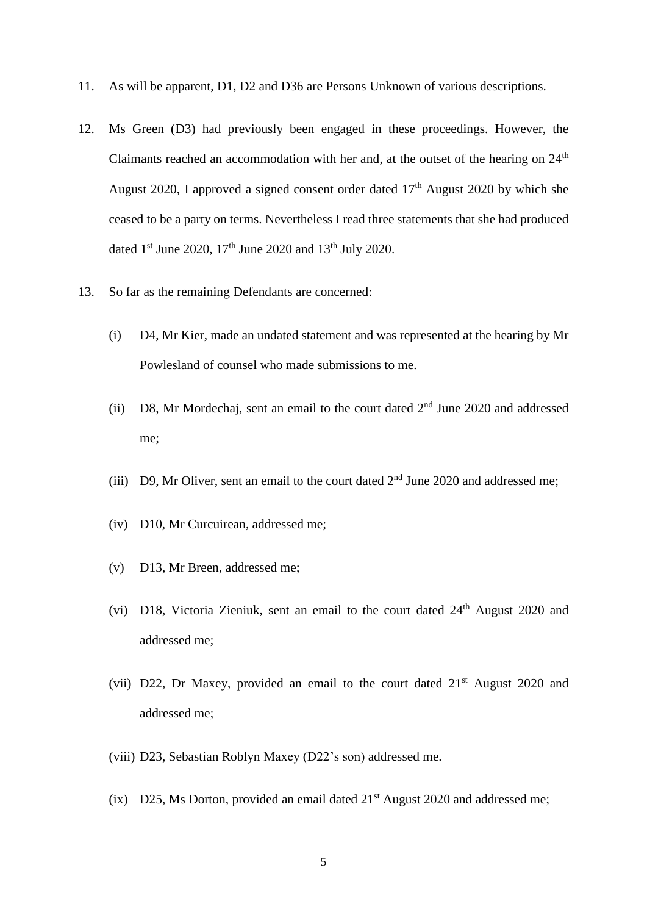- 11. As will be apparent, D1, D2 and D36 are Persons Unknown of various descriptions.
- 12. Ms Green (D3) had previously been engaged in these proceedings. However, the Claimants reached an accommodation with her and, at the outset of the hearing on  $24<sup>th</sup>$ August 2020, I approved a signed consent order dated  $17<sup>th</sup>$  August 2020 by which she ceased to be a party on terms. Nevertheless I read three statements that she had produced dated  $1^{st}$  June 2020,  $17^{th}$  June 2020 and  $13^{th}$  July 2020.
- 13. So far as the remaining Defendants are concerned:
	- (i) D4, Mr Kier, made an undated statement and was represented at the hearing by Mr Powlesland of counsel who made submissions to me.
	- (ii) D8, Mr Mordechaj, sent an email to the court dated  $2<sup>nd</sup>$  June 2020 and addressed me;
	- (iii) D9, Mr Oliver, sent an email to the court dated  $2<sup>nd</sup>$  June 2020 and addressed me;
	- (iv) D10, Mr Curcuirean, addressed me;
	- (v) D13, Mr Breen, addressed me;
	- (vi) D18, Victoria Zieniuk, sent an email to the court dated  $24<sup>th</sup>$  August 2020 and addressed me;
	- (vii) D22, Dr Maxey, provided an email to the court dated 21st August 2020 and addressed me;
	- (viii) D23, Sebastian Roblyn Maxey (D22's son) addressed me.
	- (ix) D25, Ms Dorton, provided an email dated  $21<sup>st</sup>$  August 2020 and addressed me;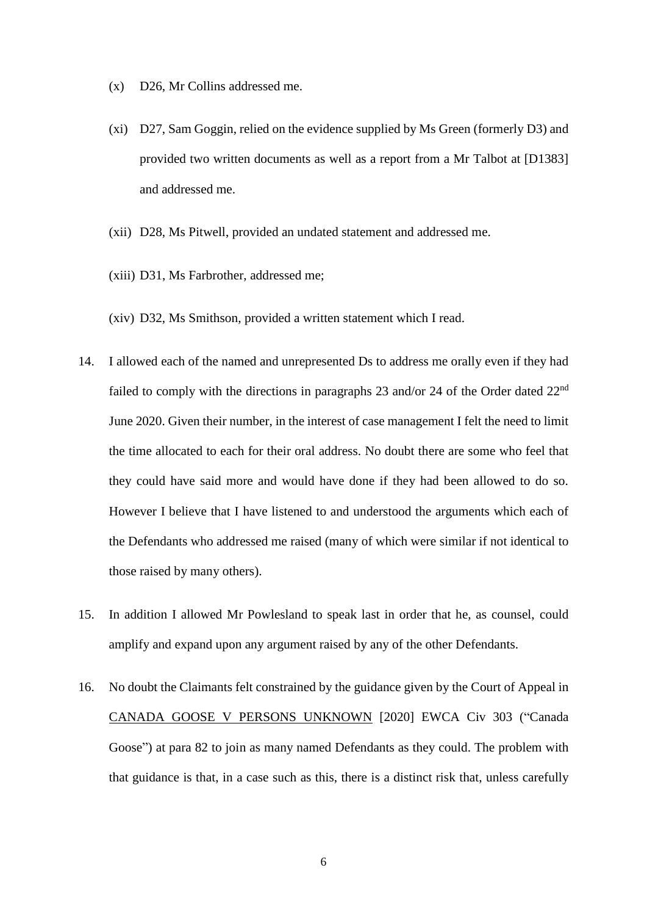- (x) D26, Mr Collins addressed me.
- (xi) D27, Sam Goggin, relied on the evidence supplied by Ms Green (formerly D3) and provided two written documents as well as a report from a Mr Talbot at [D1383] and addressed me.
- (xii) D28, Ms Pitwell, provided an undated statement and addressed me.
- (xiii) D31, Ms Farbrother, addressed me;
- (xiv) D32, Ms Smithson, provided a written statement which I read.
- 14. I allowed each of the named and unrepresented Ds to address me orally even if they had failed to comply with the directions in paragraphs 23 and/or 24 of the Order dated 22<sup>nd</sup> June 2020. Given their number, in the interest of case management I felt the need to limit the time allocated to each for their oral address. No doubt there are some who feel that they could have said more and would have done if they had been allowed to do so. However I believe that I have listened to and understood the arguments which each of the Defendants who addressed me raised (many of which were similar if not identical to those raised by many others).
- 15. In addition I allowed Mr Powlesland to speak last in order that he, as counsel, could amplify and expand upon any argument raised by any of the other Defendants.
- 16. No doubt the Claimants felt constrained by the guidance given by the Court of Appeal in CANADA GOOSE V PERSONS UNKNOWN [2020] EWCA Civ 303 ("Canada Goose") at para 82 to join as many named Defendants as they could. The problem with that guidance is that, in a case such as this, there is a distinct risk that, unless carefully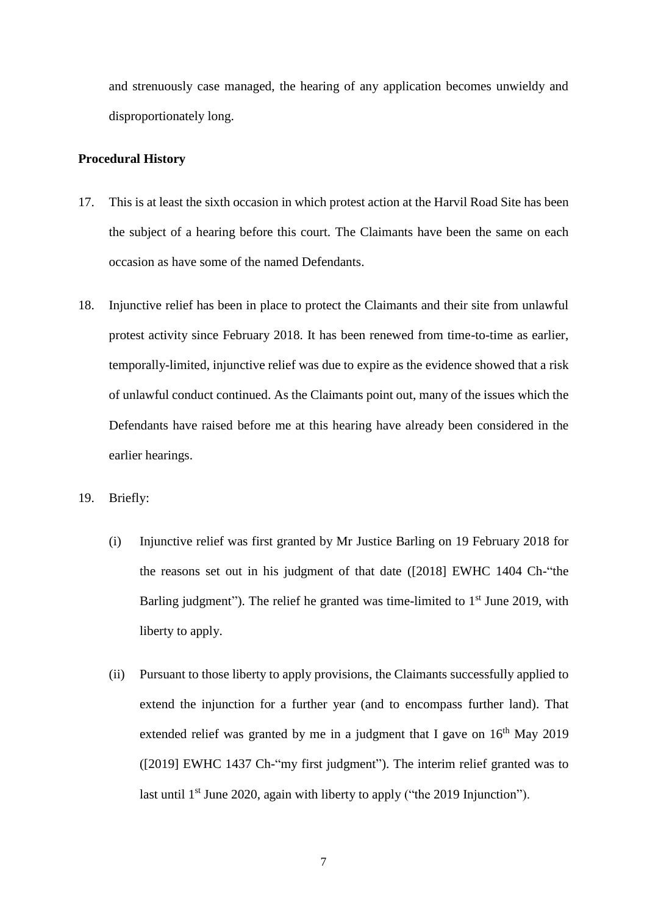and strenuously case managed, the hearing of any application becomes unwieldy and disproportionately long.

#### **Procedural History**

- 17. This is at least the sixth occasion in which protest action at the Harvil Road Site has been the subject of a hearing before this court. The Claimants have been the same on each occasion as have some of the named Defendants.
- 18. Injunctive relief has been in place to protect the Claimants and their site from unlawful protest activity since February 2018. It has been renewed from time-to-time as earlier, temporally-limited, injunctive relief was due to expire as the evidence showed that a risk of unlawful conduct continued. As the Claimants point out, many of the issues which the Defendants have raised before me at this hearing have already been considered in the earlier hearings.
- 19. Briefly:
	- (i) Injunctive relief was first granted by Mr Justice Barling on 19 February 2018 for the reasons set out in his judgment of that date ([2018] EWHC 1404 Ch-"the Barling judgment"). The relief he granted was time-limited to  $1<sup>st</sup>$  June 2019, with liberty to apply.
	- (ii) Pursuant to those liberty to apply provisions, the Claimants successfully applied to extend the injunction for a further year (and to encompass further land). That extended relief was granted by me in a judgment that I gave on  $16<sup>th</sup>$  May 2019 ([2019] EWHC 1437 Ch-"my first judgment"). The interim relief granted was to last until  $1<sup>st</sup>$  June 2020, again with liberty to apply ("the 2019 Injunction").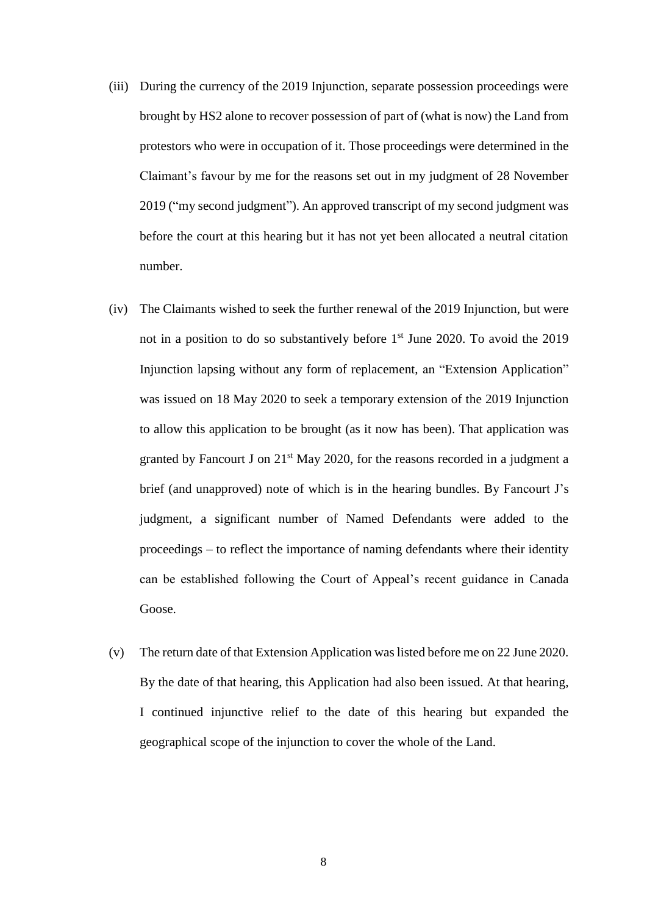- (iii) During the currency of the 2019 Injunction, separate possession proceedings were brought by HS2 alone to recover possession of part of (what is now) the Land from protestors who were in occupation of it. Those proceedings were determined in the Claimant's favour by me for the reasons set out in my judgment of 28 November 2019 ("my second judgment"). An approved transcript of my second judgment was before the court at this hearing but it has not yet been allocated a neutral citation number.
- (iv) The Claimants wished to seek the further renewal of the 2019 Injunction, but were not in a position to do so substantively before  $1<sup>st</sup>$  June 2020. To avoid the 2019 Injunction lapsing without any form of replacement, an "Extension Application" was issued on 18 May 2020 to seek a temporary extension of the 2019 Injunction to allow this application to be brought (as it now has been). That application was granted by Fancourt J on 21<sup>st</sup> May 2020, for the reasons recorded in a judgment a brief (and unapproved) note of which is in the hearing bundles. By Fancourt J's judgment, a significant number of Named Defendants were added to the proceedings – to reflect the importance of naming defendants where their identity can be established following the Court of Appeal's recent guidance in Canada Goose.
- (v) The return date of that Extension Application was listed before me on 22 June 2020. By the date of that hearing, this Application had also been issued. At that hearing, I continued injunctive relief to the date of this hearing but expanded the geographical scope of the injunction to cover the whole of the Land.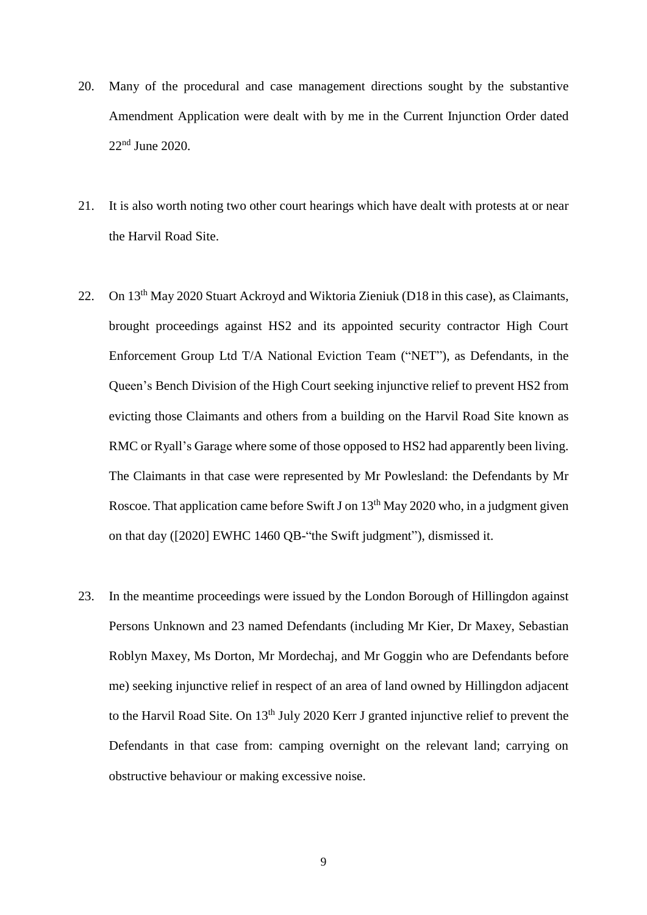- 20. Many of the procedural and case management directions sought by the substantive Amendment Application were dealt with by me in the Current Injunction Order dated 22nd June 2020.
- 21. It is also worth noting two other court hearings which have dealt with protests at or near the Harvil Road Site.
- 22. On 13<sup>th</sup> May 2020 Stuart Ackroyd and Wiktoria Zieniuk (D18 in this case), as Claimants, brought proceedings against HS2 and its appointed security contractor High Court Enforcement Group Ltd T/A National Eviction Team ("NET"), as Defendants, in the Queen's Bench Division of the High Court seeking injunctive relief to prevent HS2 from evicting those Claimants and others from a building on the Harvil Road Site known as RMC or Ryall's Garage where some of those opposed to HS2 had apparently been living. The Claimants in that case were represented by Mr Powlesland: the Defendants by Mr Roscoe. That application came before Swift J on  $13<sup>th</sup>$  May 2020 who, in a judgment given on that day ([2020] EWHC 1460 QB-"the Swift judgment"), dismissed it.
- 23. In the meantime proceedings were issued by the London Borough of Hillingdon against Persons Unknown and 23 named Defendants (including Mr Kier, Dr Maxey, Sebastian Roblyn Maxey, Ms Dorton, Mr Mordechaj, and Mr Goggin who are Defendants before me) seeking injunctive relief in respect of an area of land owned by Hillingdon adjacent to the Harvil Road Site. On 13<sup>th</sup> July 2020 Kerr J granted injunctive relief to prevent the Defendants in that case from: camping overnight on the relevant land; carrying on obstructive behaviour or making excessive noise.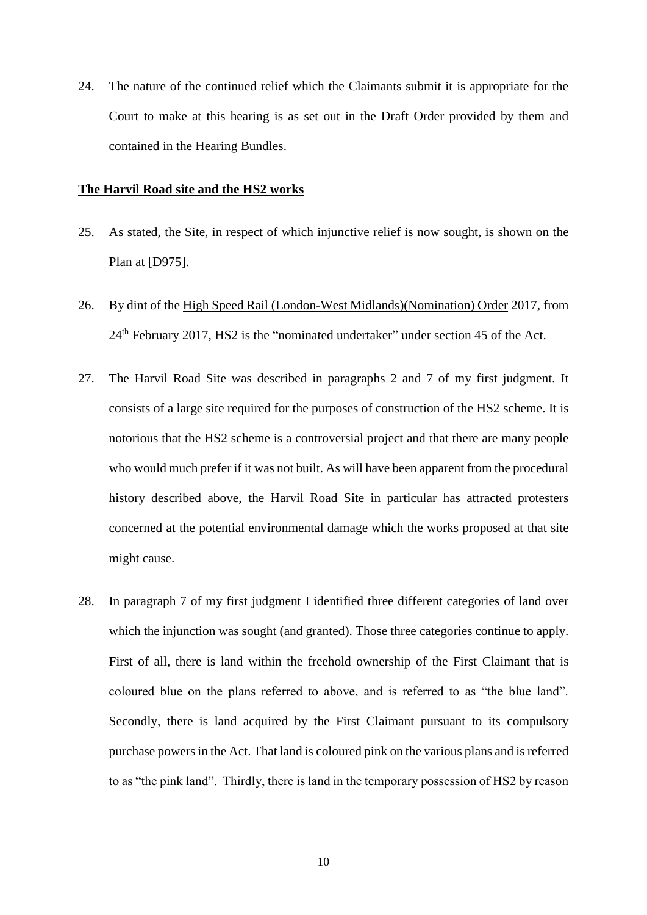24. The nature of the continued relief which the Claimants submit it is appropriate for the Court to make at this hearing is as set out in the Draft Order provided by them and contained in the Hearing Bundles.

#### **The Harvil Road site and the HS2 works**

- 25. As stated, the Site, in respect of which injunctive relief is now sought, is shown on the Plan at [D975].
- 26. By dint of the High Speed Rail (London-West Midlands)(Nomination) Order 2017, from 24th February 2017, HS2 is the "nominated undertaker" under section 45 of the Act.
- 27. The Harvil Road Site was described in paragraphs 2 and 7 of my first judgment. It consists of a large site required for the purposes of construction of the HS2 scheme. It is notorious that the HS2 scheme is a controversial project and that there are many people who would much prefer if it was not built. As will have been apparent from the procedural history described above, the Harvil Road Site in particular has attracted protesters concerned at the potential environmental damage which the works proposed at that site might cause.
- 28. In paragraph 7 of my first judgment I identified three different categories of land over which the injunction was sought (and granted). Those three categories continue to apply. First of all, there is land within the freehold ownership of the First Claimant that is coloured blue on the plans referred to above, and is referred to as "the blue land". Secondly, there is land acquired by the First Claimant pursuant to its compulsory purchase powers in the Act. That land is coloured pink on the various plans and is referred to as "the pink land". Thirdly, there is land in the temporary possession of HS2 by reason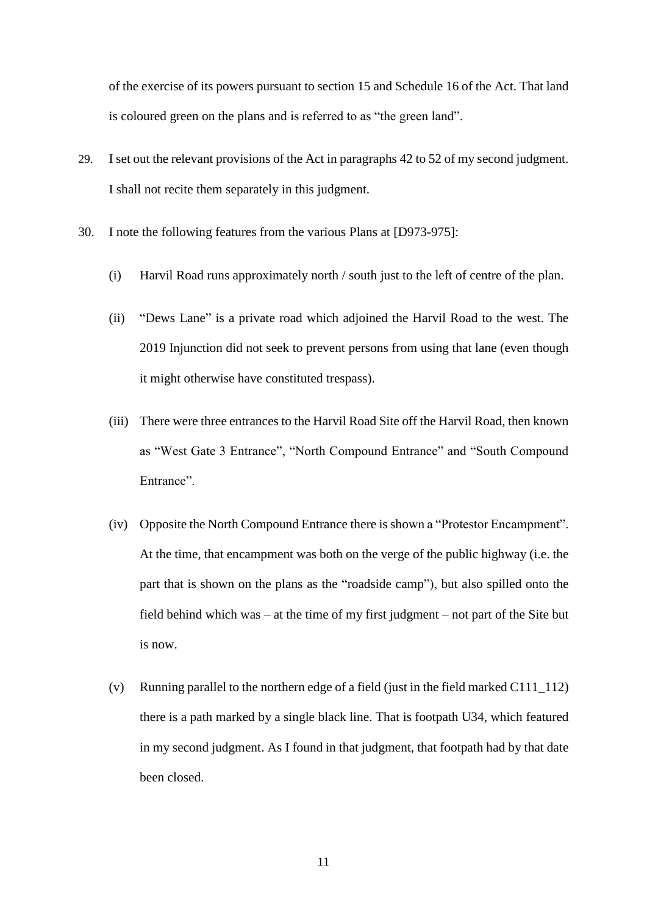of the exercise of its powers pursuant to section 15 and Schedule 16 of the Act. That land is coloured green on the plans and is referred to as "the green land".

- 29. I set out the relevant provisions of the Act in paragraphs 42 to 52 of my second judgment. I shall not recite them separately in this judgment.
- 30. I note the following features from the various Plans at [D973-975]:
	- (i) Harvil Road runs approximately north / south just to the left of centre of the plan.
	- (ii) "Dews Lane" is a private road which adjoined the Harvil Road to the west. The 2019 Injunction did not seek to prevent persons from using that lane (even though it might otherwise have constituted trespass).
	- (iii) There were three entrances to the Harvil Road Site off the Harvil Road, then known as "West Gate 3 Entrance", "North Compound Entrance" and "South Compound Entrance".
	- (iv) Opposite the North Compound Entrance there is shown a "Protestor Encampment". At the time, that encampment was both on the verge of the public highway (i.e. the part that is shown on the plans as the "roadside camp"), but also spilled onto the field behind which was – at the time of my first judgment – not part of the Site but is now.
	- (v) Running parallel to the northern edge of a field (just in the field marked C111\_112) there is a path marked by a single black line. That is footpath U34, which featured in my second judgment. As I found in that judgment, that footpath had by that date been closed.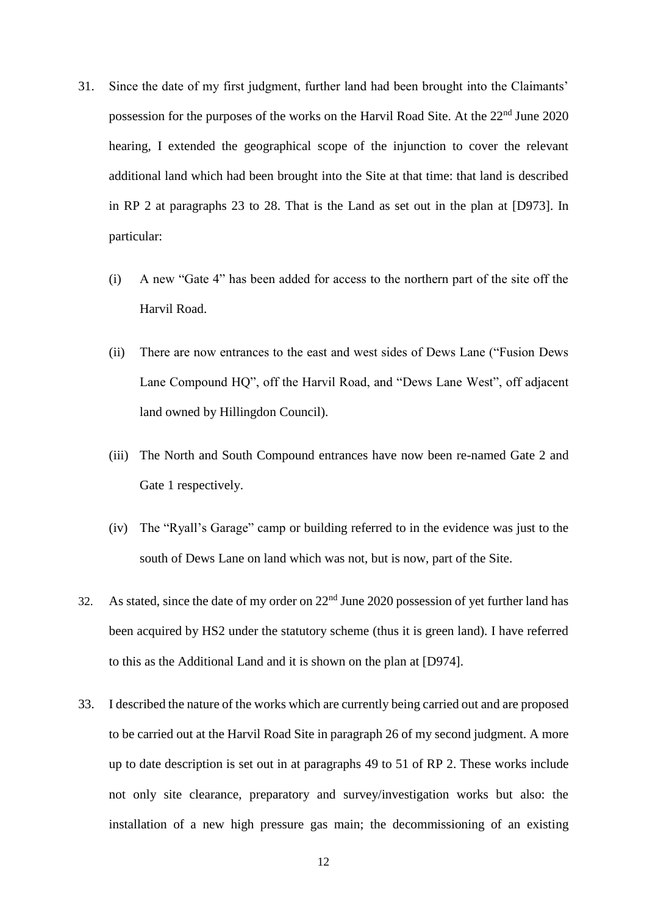- 31. Since the date of my first judgment, further land had been brought into the Claimants' possession for the purposes of the works on the Harvil Road Site. At the 22nd June 2020 hearing, I extended the geographical scope of the injunction to cover the relevant additional land which had been brought into the Site at that time: that land is described in RP 2 at paragraphs 23 to 28. That is the Land as set out in the plan at [D973]. In particular:
	- (i) A new "Gate 4" has been added for access to the northern part of the site off the Harvil Road.
	- (ii) There are now entrances to the east and west sides of Dews Lane ("Fusion Dews Lane Compound HQ", off the Harvil Road, and "Dews Lane West", off adjacent land owned by Hillingdon Council).
	- (iii) The North and South Compound entrances have now been re-named Gate 2 and Gate 1 respectively.
	- (iv) The "Ryall's Garage" camp or building referred to in the evidence was just to the south of Dews Lane on land which was not, but is now, part of the Site.
- 32. As stated, since the date of my order on  $22<sup>nd</sup>$  June 2020 possession of yet further land has been acquired by HS2 under the statutory scheme (thus it is green land). I have referred to this as the Additional Land and it is shown on the plan at [D974].
- 33. I described the nature of the works which are currently being carried out and are proposed to be carried out at the Harvil Road Site in paragraph 26 of my second judgment. A more up to date description is set out in at paragraphs 49 to 51 of RP 2. These works include not only site clearance, preparatory and survey/investigation works but also: the installation of a new high pressure gas main; the decommissioning of an existing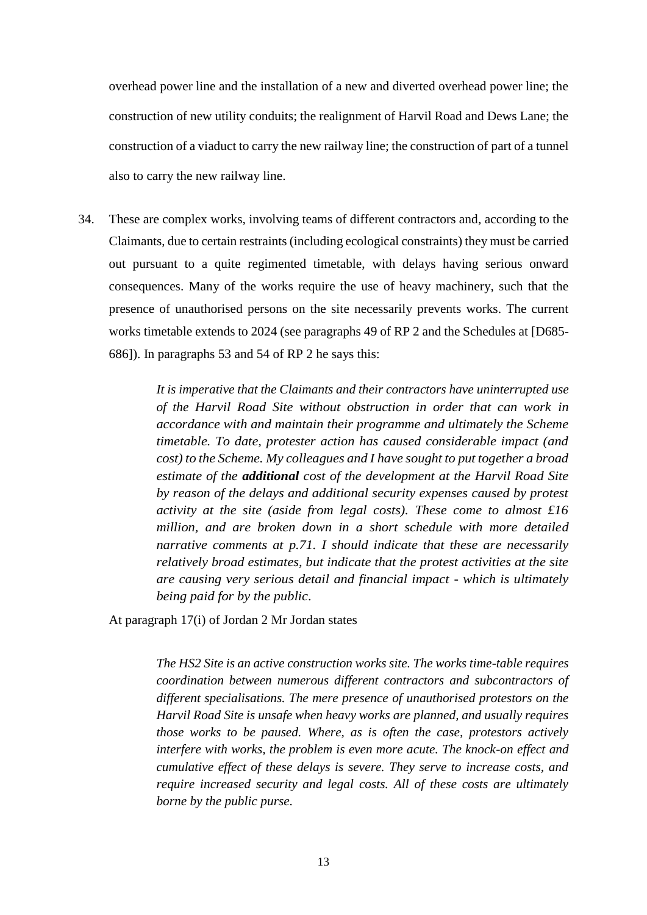overhead power line and the installation of a new and diverted overhead power line; the construction of new utility conduits; the realignment of Harvil Road and Dews Lane; the construction of a viaduct to carry the new railway line; the construction of part of a tunnel also to carry the new railway line.

34. These are complex works, involving teams of different contractors and, according to the Claimants, due to certain restraints (including ecological constraints) they must be carried out pursuant to a quite regimented timetable, with delays having serious onward consequences. Many of the works require the use of heavy machinery, such that the presence of unauthorised persons on the site necessarily prevents works. The current works timetable extends to 2024 (see paragraphs 49 of RP 2 and the Schedules at [D685- 686]). In paragraphs 53 and 54 of RP 2 he says this:

> *It is imperative that the Claimants and their contractors have uninterrupted use of the Harvil Road Site without obstruction in order that can work in accordance with and maintain their programme and ultimately the Scheme timetable. To date, protester action has caused considerable impact (and cost) to the Scheme. My colleagues and I have sought to put together a broad estimate of the additional cost of the development at the Harvil Road Site by reason of the delays and additional security expenses caused by protest activity at the site (aside from legal costs). These come to almost £16 million, and are broken down in a short schedule with more detailed narrative comments at p.71. I should indicate that these are necessarily relatively broad estimates, but indicate that the protest activities at the site are causing very serious detail and financial impact - which is ultimately being paid for by the public*.

At paragraph 17(i) of Jordan 2 Mr Jordan states

*The HS2 Site is an active construction works site. The works time-table requires coordination between numerous different contractors and subcontractors of different specialisations. The mere presence of unauthorised protestors on the Harvil Road Site is unsafe when heavy works are planned, and usually requires those works to be paused. Where, as is often the case, protestors actively interfere with works, the problem is even more acute. The knock-on effect and cumulative effect of these delays is severe. They serve to increase costs, and require increased security and legal costs. All of these costs are ultimately borne by the public purse.*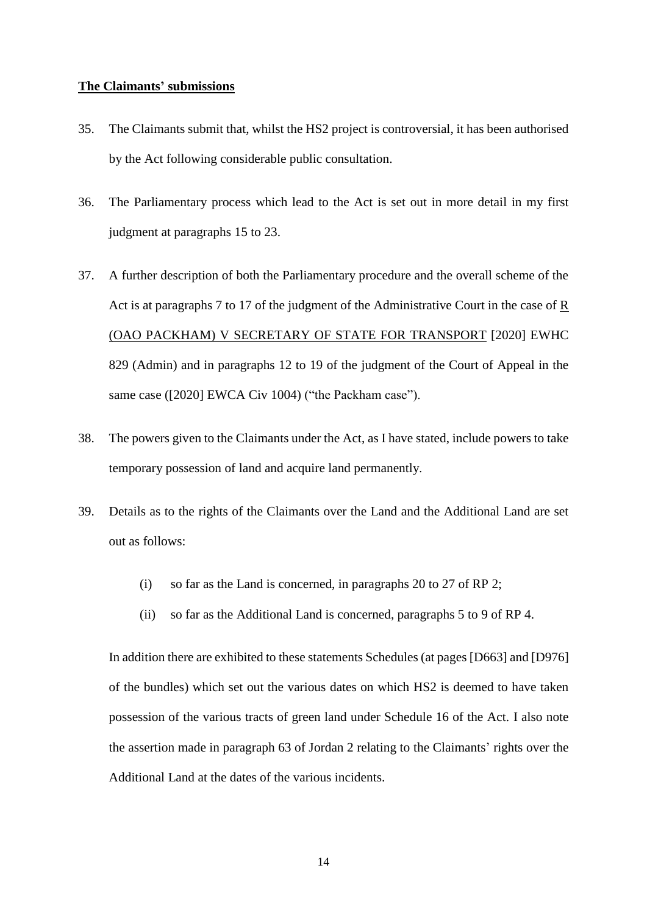#### **The Claimants' submissions**

- 35. The Claimants submit that, whilst the HS2 project is controversial, it has been authorised by the Act following considerable public consultation.
- 36. The Parliamentary process which lead to the Act is set out in more detail in my first judgment at paragraphs 15 to 23.
- 37. A further description of both the Parliamentary procedure and the overall scheme of the Act is at paragraphs 7 to 17 of the judgment of the Administrative Court in the case of R (OAO PACKHAM) V SECRETARY OF STATE FOR TRANSPORT [2020] EWHC 829 (Admin) and in paragraphs 12 to 19 of the judgment of the Court of Appeal in the same case ([2020] EWCA Civ 1004) ("the Packham case").
- 38. The powers given to the Claimants under the Act, as I have stated, include powers to take temporary possession of land and acquire land permanently.
- 39. Details as to the rights of the Claimants over the Land and the Additional Land are set out as follows:
	- (i) so far as the Land is concerned, in paragraphs 20 to 27 of RP 2;
	- (ii) so far as the Additional Land is concerned, paragraphs 5 to 9 of RP 4.

In addition there are exhibited to these statements Schedules (at pages [D663] and [D976] of the bundles) which set out the various dates on which HS2 is deemed to have taken possession of the various tracts of green land under Schedule 16 of the Act. I also note the assertion made in paragraph 63 of Jordan 2 relating to the Claimants' rights over the Additional Land at the dates of the various incidents.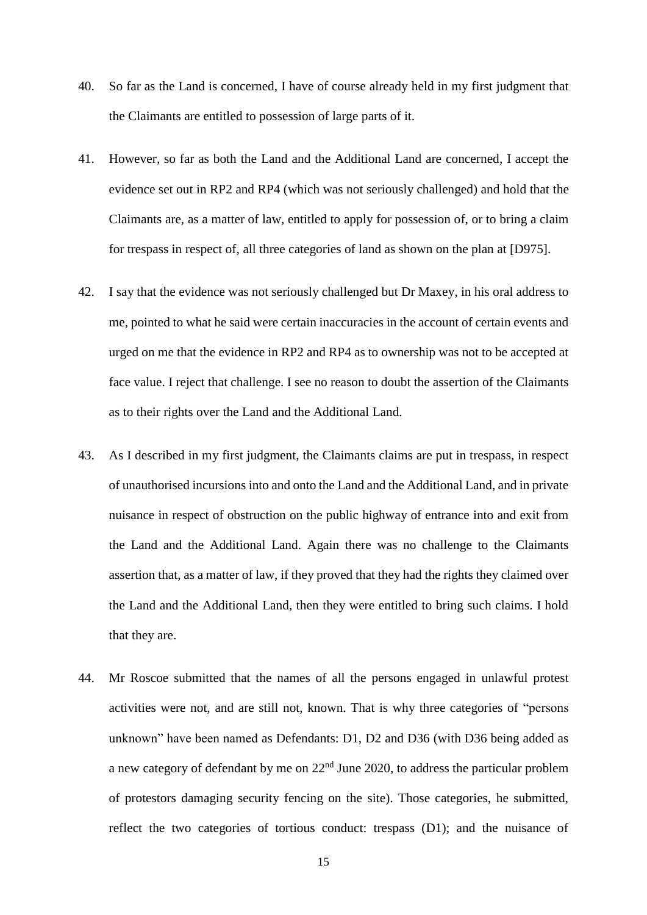- 40. So far as the Land is concerned, I have of course already held in my first judgment that the Claimants are entitled to possession of large parts of it.
- 41. However, so far as both the Land and the Additional Land are concerned, I accept the evidence set out in RP2 and RP4 (which was not seriously challenged) and hold that the Claimants are, as a matter of law, entitled to apply for possession of, or to bring a claim for trespass in respect of, all three categories of land as shown on the plan at [D975].
- 42. I say that the evidence was not seriously challenged but Dr Maxey, in his oral address to me, pointed to what he said were certain inaccuracies in the account of certain events and urged on me that the evidence in RP2 and RP4 as to ownership was not to be accepted at face value. I reject that challenge. I see no reason to doubt the assertion of the Claimants as to their rights over the Land and the Additional Land.
- 43. As I described in my first judgment, the Claimants claims are put in trespass, in respect of unauthorised incursions into and onto the Land and the Additional Land, and in private nuisance in respect of obstruction on the public highway of entrance into and exit from the Land and the Additional Land. Again there was no challenge to the Claimants assertion that, as a matter of law, if they proved that they had the rights they claimed over the Land and the Additional Land, then they were entitled to bring such claims. I hold that they are.
- 44. Mr Roscoe submitted that the names of all the persons engaged in unlawful protest activities were not, and are still not, known. That is why three categories of "persons unknown" have been named as Defendants: D1, D2 and D36 (with D36 being added as a new category of defendant by me on  $22<sup>nd</sup>$  June 2020, to address the particular problem of protestors damaging security fencing on the site). Those categories, he submitted, reflect the two categories of tortious conduct: trespass (D1); and the nuisance of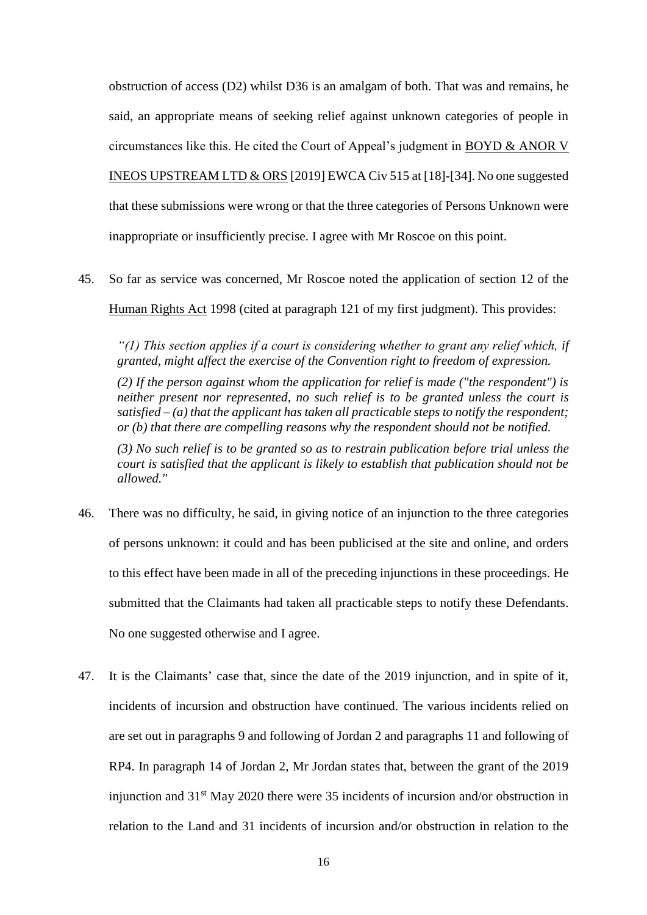obstruction of access (D2) whilst D36 is an amalgam of both. That was and remains, he said, an appropriate means of seeking relief against unknown categories of people in circumstances like this. He cited the Court of Appeal's judgment in  $\frac{BOYD \& ANOR V}{AQ}$ INEOS UPSTREAM LTD & ORS [2019] EWCA Civ 515 at [18]-[34]. No one suggested that these submissions were wrong or that the three categories of Persons Unknown were inappropriate or insufficiently precise. I agree with Mr Roscoe on this point.

45. So far as service was concerned, Mr Roscoe noted the application of section 12 of the Human Rights Act 1998 (cited at paragraph 121 of my first judgment). This provides:

*"(1) This section applies if a court is considering whether to grant any relief which, if granted, might affect the exercise of the Convention right to freedom of expression.*

*(2) If the person against whom the application for relief is made ("the respondent") is neither present nor represented, no such relief is to be granted unless the court is satisfied – (a) that the applicant has taken all practicable steps to notify the respondent; or (b) that there are compelling reasons why the respondent should not be notified.*

*(3) No such relief is to be granted so as to restrain publication before trial unless the court is satisfied that the applicant is likely to establish that publication should not be allowed."*

- 46. There was no difficulty, he said, in giving notice of an injunction to the three categories of persons unknown: it could and has been publicised at the site and online, and orders to this effect have been made in all of the preceding injunctions in these proceedings. He submitted that the Claimants had taken all practicable steps to notify these Defendants. No one suggested otherwise and I agree.
- 47. It is the Claimants' case that, since the date of the 2019 injunction, and in spite of it, incidents of incursion and obstruction have continued. The various incidents relied on are set out in paragraphs 9 and following of Jordan 2 and paragraphs 11 and following of RP4. In paragraph 14 of Jordan 2, Mr Jordan states that, between the grant of the 2019 injunction and  $31<sup>st</sup>$  May 2020 there were 35 incidents of incursion and/or obstruction in relation to the Land and 31 incidents of incursion and/or obstruction in relation to the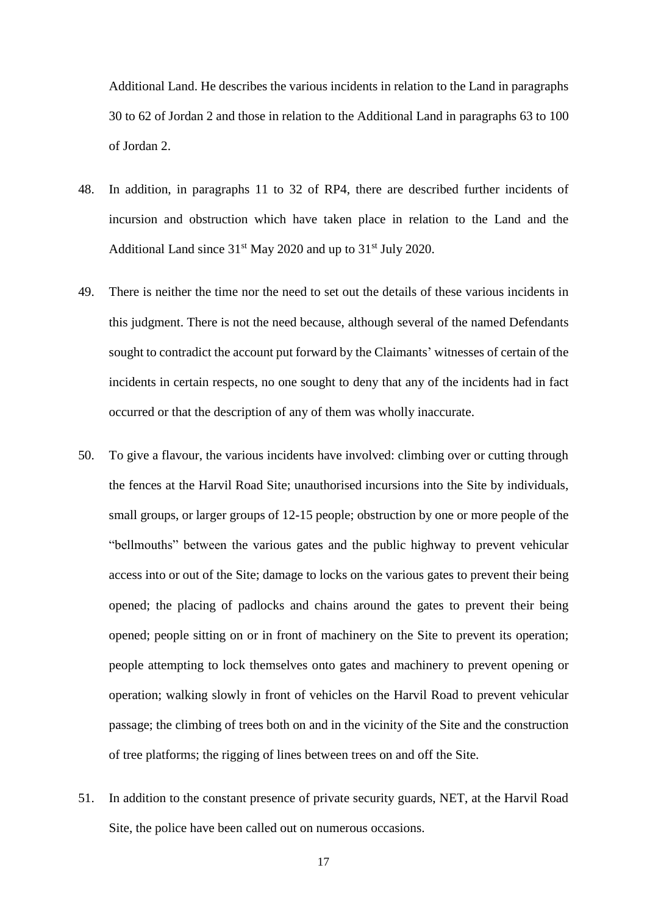Additional Land. He describes the various incidents in relation to the Land in paragraphs 30 to 62 of Jordan 2 and those in relation to the Additional Land in paragraphs 63 to 100 of Jordan 2.

- 48. In addition, in paragraphs 11 to 32 of RP4, there are described further incidents of incursion and obstruction which have taken place in relation to the Land and the Additional Land since  $31<sup>st</sup>$  May 2020 and up to  $31<sup>st</sup>$  July 2020.
- 49. There is neither the time nor the need to set out the details of these various incidents in this judgment. There is not the need because, although several of the named Defendants sought to contradict the account put forward by the Claimants' witnesses of certain of the incidents in certain respects, no one sought to deny that any of the incidents had in fact occurred or that the description of any of them was wholly inaccurate.
- 50. To give a flavour, the various incidents have involved: climbing over or cutting through the fences at the Harvil Road Site; unauthorised incursions into the Site by individuals, small groups, or larger groups of 12-15 people; obstruction by one or more people of the "bellmouths" between the various gates and the public highway to prevent vehicular access into or out of the Site; damage to locks on the various gates to prevent their being opened; the placing of padlocks and chains around the gates to prevent their being opened; people sitting on or in front of machinery on the Site to prevent its operation; people attempting to lock themselves onto gates and machinery to prevent opening or operation; walking slowly in front of vehicles on the Harvil Road to prevent vehicular passage; the climbing of trees both on and in the vicinity of the Site and the construction of tree platforms; the rigging of lines between trees on and off the Site.
- 51. In addition to the constant presence of private security guards, NET, at the Harvil Road Site, the police have been called out on numerous occasions.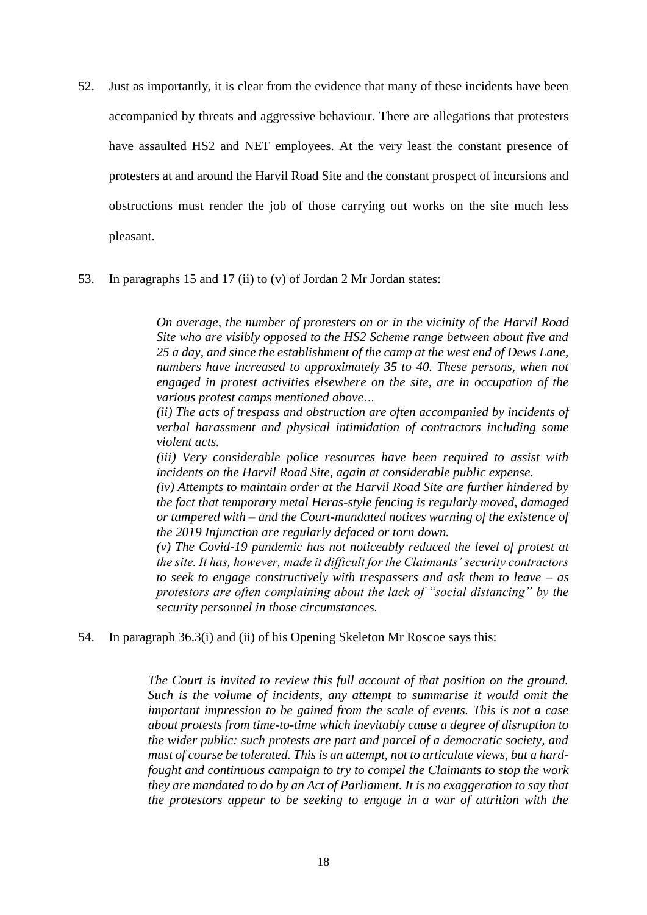- 52. Just as importantly, it is clear from the evidence that many of these incidents have been accompanied by threats and aggressive behaviour. There are allegations that protesters have assaulted HS2 and NET employees. At the very least the constant presence of protesters at and around the Harvil Road Site and the constant prospect of incursions and obstructions must render the job of those carrying out works on the site much less pleasant.
- 53. In paragraphs 15 and 17 (ii) to (v) of Jordan 2 Mr Jordan states:

*On average, the number of protesters on or in the vicinity of the Harvil Road Site who are visibly opposed to the HS2 Scheme range between about five and 25 a day, and since the establishment of the camp at the west end of Dews Lane, numbers have increased to approximately 35 to 40. These persons, when not engaged in protest activities elsewhere on the site, are in occupation of the various protest camps mentioned above…*

*(ii) The acts of trespass and obstruction are often accompanied by incidents of verbal harassment and physical intimidation of contractors including some violent acts.*

*(iii) Very considerable police resources have been required to assist with incidents on the Harvil Road Site, again at considerable public expense.*

*(iv) Attempts to maintain order at the Harvil Road Site are further hindered by the fact that temporary metal Heras-style fencing is regularly moved, damaged or tampered with – and the Court-mandated notices warning of the existence of the 2019 Injunction are regularly defaced or torn down.*

*(v) The Covid-19 pandemic has not noticeably reduced the level of protest at the site. It has, however, made it difficult for the Claimants' security contractors to seek to engage constructively with trespassers and ask them to leave – as protestors are often complaining about the lack of "social distancing" by the security personnel in those circumstances.*

54. In paragraph 36.3(i) and (ii) of his Opening Skeleton Mr Roscoe says this:

*The Court is invited to review this full account of that position on the ground. Such is the volume of incidents, any attempt to summarise it would omit the important impression to be gained from the scale of events. This is not a case about protests from time-to-time which inevitably cause a degree of disruption to the wider public: such protests are part and parcel of a democratic society, and must of course be tolerated. This is an attempt, not to articulate views, but a hardfought and continuous campaign to try to compel the Claimants to stop the work they are mandated to do by an Act of Parliament. It is no exaggeration to say that the protestors appear to be seeking to engage in a war of attrition with the*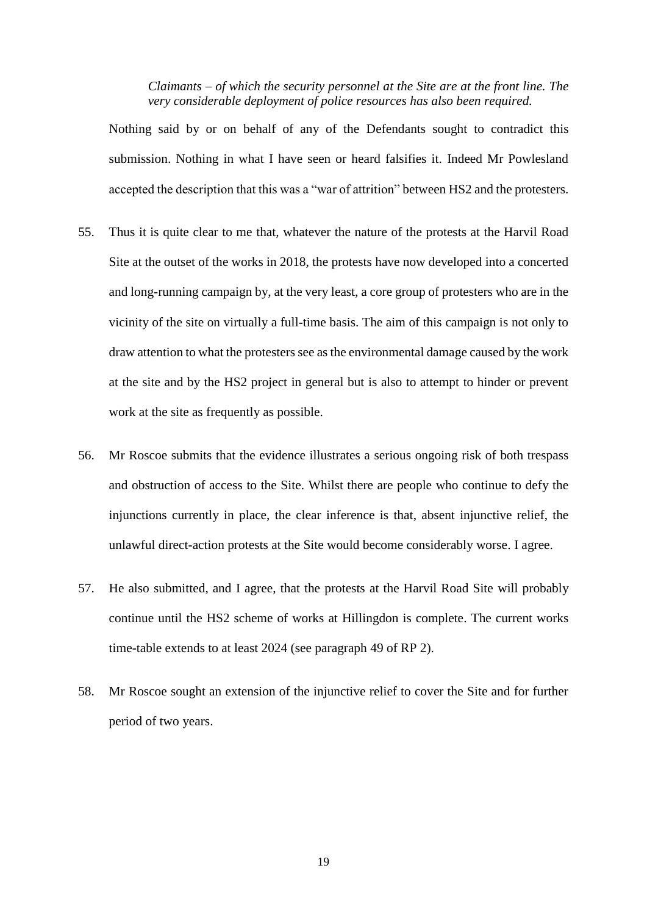*Claimants – of which the security personnel at the Site are at the front line. The very considerable deployment of police resources has also been required.*

Nothing said by or on behalf of any of the Defendants sought to contradict this submission. Nothing in what I have seen or heard falsifies it. Indeed Mr Powlesland accepted the description that this was a "war of attrition" between HS2 and the protesters.

- 55. Thus it is quite clear to me that, whatever the nature of the protests at the Harvil Road Site at the outset of the works in 2018, the protests have now developed into a concerted and long-running campaign by, at the very least, a core group of protesters who are in the vicinity of the site on virtually a full-time basis. The aim of this campaign is not only to draw attention to what the protesters see as the environmental damage caused by the work at the site and by the HS2 project in general but is also to attempt to hinder or prevent work at the site as frequently as possible.
- 56. Mr Roscoe submits that the evidence illustrates a serious ongoing risk of both trespass and obstruction of access to the Site. Whilst there are people who continue to defy the injunctions currently in place, the clear inference is that, absent injunctive relief, the unlawful direct-action protests at the Site would become considerably worse. I agree.
- 57. He also submitted, and I agree, that the protests at the Harvil Road Site will probably continue until the HS2 scheme of works at Hillingdon is complete. The current works time-table extends to at least 2024 (see paragraph 49 of RP 2).
- 58. Mr Roscoe sought an extension of the injunctive relief to cover the Site and for further period of two years.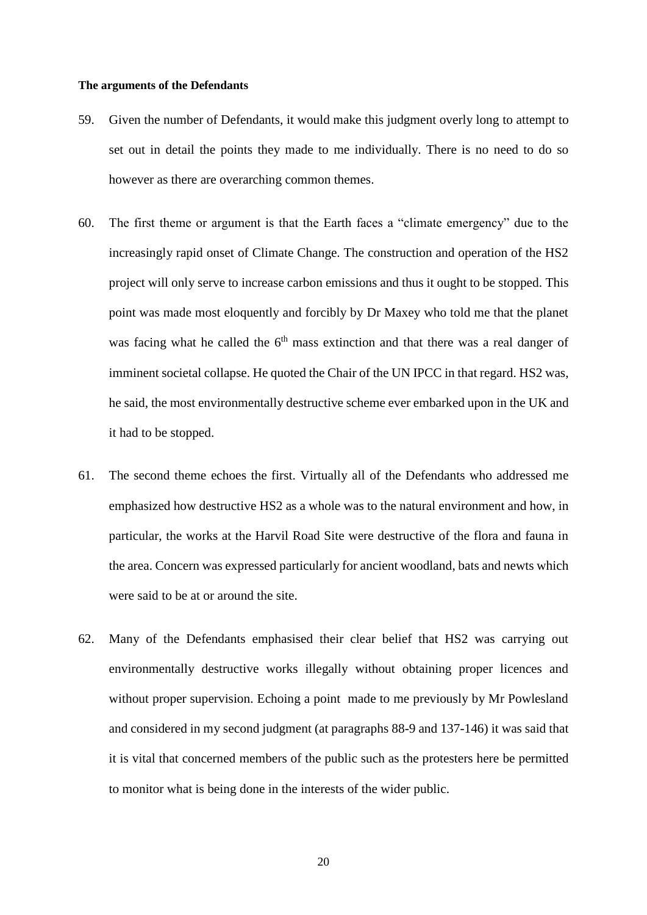#### **The arguments of the Defendants**

- 59. Given the number of Defendants, it would make this judgment overly long to attempt to set out in detail the points they made to me individually. There is no need to do so however as there are overarching common themes.
- 60. The first theme or argument is that the Earth faces a "climate emergency" due to the increasingly rapid onset of Climate Change. The construction and operation of the HS2 project will only serve to increase carbon emissions and thus it ought to be stopped. This point was made most eloquently and forcibly by Dr Maxey who told me that the planet was facing what he called the  $6<sup>th</sup>$  mass extinction and that there was a real danger of imminent societal collapse. He quoted the Chair of the UN IPCC in that regard. HS2 was, he said, the most environmentally destructive scheme ever embarked upon in the UK and it had to be stopped.
- 61. The second theme echoes the first. Virtually all of the Defendants who addressed me emphasized how destructive HS2 as a whole was to the natural environment and how, in particular, the works at the Harvil Road Site were destructive of the flora and fauna in the area. Concern was expressed particularly for ancient woodland, bats and newts which were said to be at or around the site.
- 62. Many of the Defendants emphasised their clear belief that HS2 was carrying out environmentally destructive works illegally without obtaining proper licences and without proper supervision. Echoing a point made to me previously by Mr Powlesland and considered in my second judgment (at paragraphs 88-9 and 137-146) it was said that it is vital that concerned members of the public such as the protesters here be permitted to monitor what is being done in the interests of the wider public.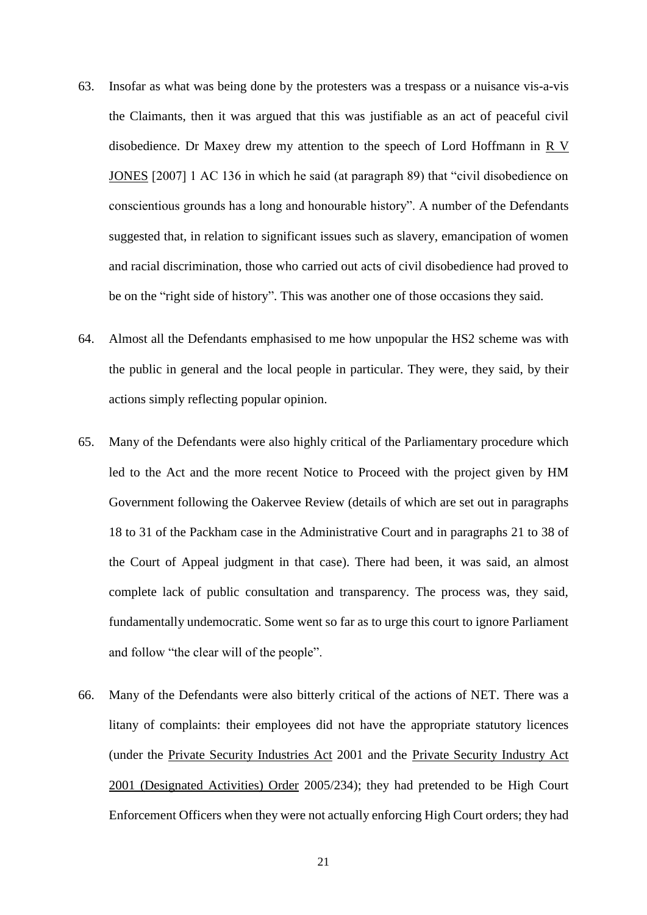- 63. Insofar as what was being done by the protesters was a trespass or a nuisance vis-a-vis the Claimants, then it was argued that this was justifiable as an act of peaceful civil disobedience. Dr Maxey drew my attention to the speech of Lord Hoffmann in R V JONES [2007] 1 AC 136 in which he said (at paragraph 89) that "civil disobedience on conscientious grounds has a long and honourable history". A number of the Defendants suggested that, in relation to significant issues such as slavery, emancipation of women and racial discrimination, those who carried out acts of civil disobedience had proved to be on the "right side of history". This was another one of those occasions they said.
- 64. Almost all the Defendants emphasised to me how unpopular the HS2 scheme was with the public in general and the local people in particular. They were, they said, by their actions simply reflecting popular opinion.
- 65. Many of the Defendants were also highly critical of the Parliamentary procedure which led to the Act and the more recent Notice to Proceed with the project given by HM Government following the Oakervee Review (details of which are set out in paragraphs 18 to 31 of the Packham case in the Administrative Court and in paragraphs 21 to 38 of the Court of Appeal judgment in that case). There had been, it was said, an almost complete lack of public consultation and transparency. The process was, they said, fundamentally undemocratic. Some went so far as to urge this court to ignore Parliament and follow "the clear will of the people".
- 66. Many of the Defendants were also bitterly critical of the actions of NET. There was a litany of complaints: their employees did not have the appropriate statutory licences (under the Private Security Industries Act 2001 and the [Private Security Industry Act](https://uk.westlaw.com/Document/I63065A81E42311DAA7CF8F68F6EE57AB/View/FullText.html?navigationPath=Search%2Fv1%2Fresults%2Fnavigation%2Fi0ad73aa6000001742b1355d1a31de868%3FNav%3DLEGISLATION_PRIMARY_SECONDARY_WLUK%26fragmentIdentifier%3DI63065A81E42311DAA7CF8F68F6EE57AB%26parentRank%3D0%26startIndex%3D1%26contextData%3D%2528sc.Search%2529%26transitionType%3DSearchItem&listSource=Search&listPageSource=74c472d8a2f391670b981dd1bbdbc31d&list=LEGISLATION_PRIMARY_SECONDARY_WLUK&rank=45&sessionScopeId=409495c05a797b2d4113ab536b54fdb2f23a16f46a99de940811b61d3c5b1a85&originationContext=Search+Result&transitionType=SearchItem&contextData=%28sc.Search%29&comp=wluk)  [2001 \(Designated Activities\) Order](https://uk.westlaw.com/Document/I63065A81E42311DAA7CF8F68F6EE57AB/View/FullText.html?navigationPath=Search%2Fv1%2Fresults%2Fnavigation%2Fi0ad73aa6000001742b1355d1a31de868%3FNav%3DLEGISLATION_PRIMARY_SECONDARY_WLUK%26fragmentIdentifier%3DI63065A81E42311DAA7CF8F68F6EE57AB%26parentRank%3D0%26startIndex%3D1%26contextData%3D%2528sc.Search%2529%26transitionType%3DSearchItem&listSource=Search&listPageSource=74c472d8a2f391670b981dd1bbdbc31d&list=LEGISLATION_PRIMARY_SECONDARY_WLUK&rank=45&sessionScopeId=409495c05a797b2d4113ab536b54fdb2f23a16f46a99de940811b61d3c5b1a85&originationContext=Search+Result&transitionType=SearchItem&contextData=%28sc.Search%29&comp=wluk) 2005/234); they had pretended to be High Court Enforcement Officers when they were not actually enforcing High Court orders; they had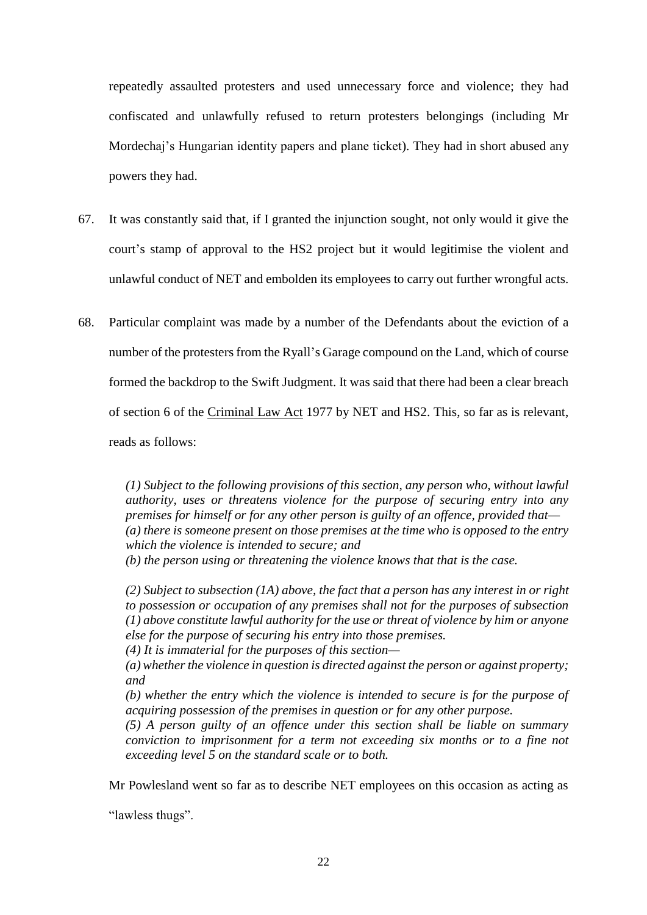repeatedly assaulted protesters and used unnecessary force and violence; they had confiscated and unlawfully refused to return protesters belongings (including Mr Mordechaj's Hungarian identity papers and plane ticket). They had in short abused any powers they had.

- 67. It was constantly said that, if I granted the injunction sought, not only would it give the court's stamp of approval to the HS2 project but it would legitimise the violent and unlawful conduct of NET and embolden its employees to carry out further wrongful acts.
- 68. Particular complaint was made by a number of the Defendants about the eviction of a number of the protesters from the Ryall's Garage compound on the Land, which of course formed the backdrop to the Swift Judgment. It was said that there had been a clear breach of section 6 of the Criminal Law Act 1977 by NET and HS2. This, so far as is relevant, reads as follows:

*(1) Subject to the following provisions of this section, any person who, without lawful authority, uses or threatens violence for the purpose of securing entry into any premises for himself or for any other person is guilty of an offence, provided that— (a) there is someone present on those premises at the time who is opposed to the entry which the violence is intended to secure; and*

*(b) the person using or threatening the violence knows that that is the case.*

*(2) Subject to subsection (1A) above, the fact that a person has any interest in or right to possession or occupation of any premises shall not for the purposes of subsection (1) above constitute lawful authority for the use or threat of violence by him or anyone else for the purpose of securing his entry into those premises.*

*(4) It is immaterial for the purposes of this section—*

*(a) whether the violence in question is directed against the person or against property; and*

*(b) whether the entry which the violence is intended to secure is for the purpose of acquiring possession of the premises in question or for any other purpose.*

*(5) A person guilty of an offence under this section shall be liable on summary conviction to imprisonment for a term not exceeding six months or to a fine not exceeding level 5 on the standard scale or to both.*

Mr Powlesland went so far as to describe NET employees on this occasion as acting as

"lawless thugs".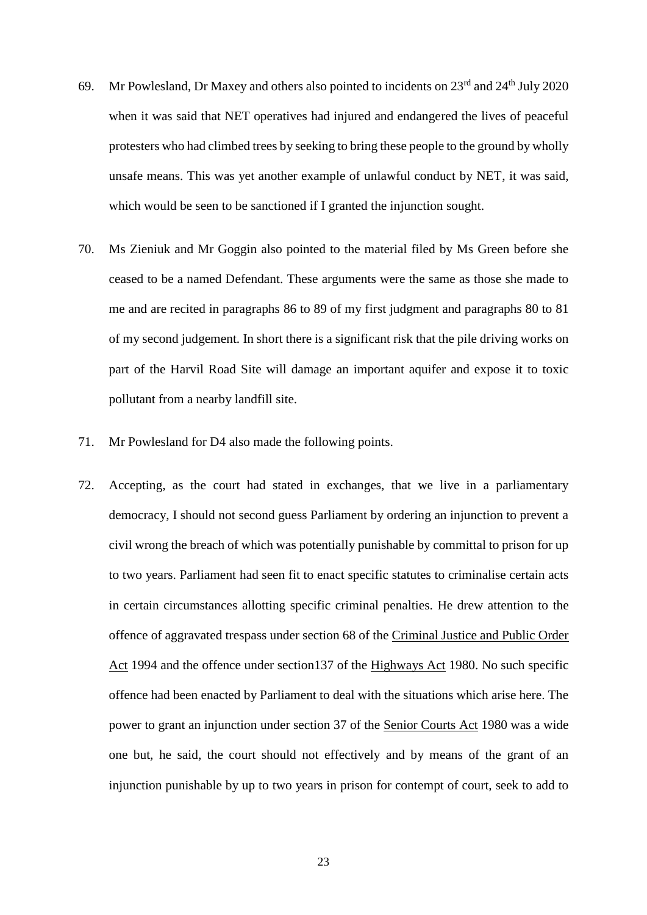- 69. Mr Powlesland, Dr Maxey and others also pointed to incidents on  $23<sup>rd</sup>$  and  $24<sup>th</sup>$  July 2020 when it was said that NET operatives had injured and endangered the lives of peaceful protesters who had climbed trees by seeking to bring these people to the ground by wholly unsafe means. This was yet another example of unlawful conduct by NET, it was said, which would be seen to be sanctioned if I granted the injunction sought.
- 70. Ms Zieniuk and Mr Goggin also pointed to the material filed by Ms Green before she ceased to be a named Defendant. These arguments were the same as those she made to me and are recited in paragraphs 86 to 89 of my first judgment and paragraphs 80 to 81 of my second judgement. In short there is a significant risk that the pile driving works on part of the Harvil Road Site will damage an important aquifer and expose it to toxic pollutant from a nearby landfill site.
- 71. Mr Powlesland for D4 also made the following points.
- 72. Accepting, as the court had stated in exchanges, that we live in a parliamentary democracy, I should not second guess Parliament by ordering an injunction to prevent a civil wrong the breach of which was potentially punishable by committal to prison for up to two years. Parliament had seen fit to enact specific statutes to criminalise certain acts in certain circumstances allotting specific criminal penalties. He drew attention to the offence of aggravated trespass under section 68 of the Criminal Justice and Public Order Act 1994 and the offence under section137 of the Highways Act 1980. No such specific offence had been enacted by Parliament to deal with the situations which arise here. The power to grant an injunction under section 37 of the Senior Courts Act 1980 was a wide one but, he said, the court should not effectively and by means of the grant of an injunction punishable by up to two years in prison for contempt of court, seek to add to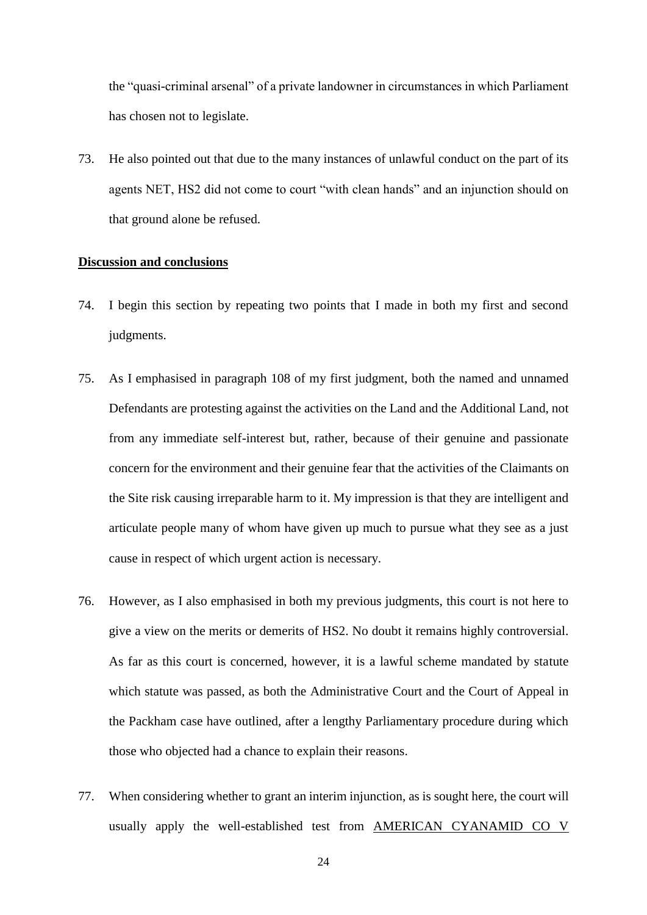the "quasi-criminal arsenal" of a private landowner in circumstances in which Parliament has chosen not to legislate.

73. He also pointed out that due to the many instances of unlawful conduct on the part of its agents NET, HS2 did not come to court "with clean hands" and an injunction should on that ground alone be refused.

### **Discussion and conclusions**

- 74. I begin this section by repeating two points that I made in both my first and second judgments.
- 75. As I emphasised in paragraph 108 of my first judgment, both the named and unnamed Defendants are protesting against the activities on the Land and the Additional Land, not from any immediate self-interest but, rather, because of their genuine and passionate concern for the environment and their genuine fear that the activities of the Claimants on the Site risk causing irreparable harm to it. My impression is that they are intelligent and articulate people many of whom have given up much to pursue what they see as a just cause in respect of which urgent action is necessary.
- 76. However, as I also emphasised in both my previous judgments, this court is not here to give a view on the merits or demerits of HS2. No doubt it remains highly controversial. As far as this court is concerned, however, it is a lawful scheme mandated by statute which statute was passed, as both the Administrative Court and the Court of Appeal in the Packham case have outlined, after a lengthy Parliamentary procedure during which those who objected had a chance to explain their reasons.
- 77. When considering whether to grant an interim injunction, as is sought here, the court will usually apply the well-established test from AMERICAN CYANAMID CO V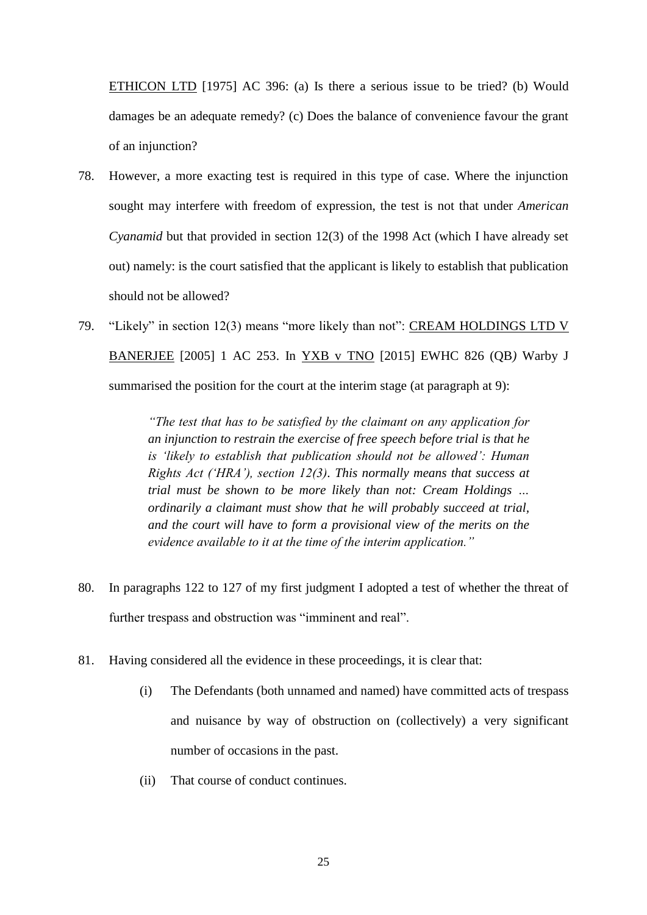ETHICON LTD [1975] AC 396: (a) Is there a serious issue to be tried? (b) Would damages be an adequate remedy? (c) Does the balance of convenience favour the grant of an injunction?

- 78. However, a more exacting test is required in this type of case. Where the injunction sought may interfere with freedom of expression, the test is not that under *American Cyanamid* but that provided in section 12(3) of the 1998 Act (which I have already set out) namely: is the court satisfied that the applicant is likely to establish that publication should not be allowed?
- 79. "Likely" in section 12(3) means "more likely than not": CREAM HOLDINGS LTD V BANERJEE [2005] 1 AC 253. In YXB v TNO [2015] EWHC 826 (QB*)* Warby J summarised the position for the court at the interim stage (at paragraph at 9):

*"The test that has to be satisfied by the claimant on any application for an injunction to restrain the exercise of free speech before trial is that he is 'likely to establish that publication should not be allowed': Human Rights Act ('HRA'), section 12(3). This normally means that success at trial must be shown to be more likely than not: Cream Holdings … ordinarily a claimant must show that he will probably succeed at trial, and the court will have to form a provisional view of the merits on the evidence available to it at the time of the interim application."* 

- 80. In paragraphs 122 to 127 of my first judgment I adopted a test of whether the threat of further trespass and obstruction was "imminent and real".
- 81. Having considered all the evidence in these proceedings, it is clear that:
	- (i) The Defendants (both unnamed and named) have committed acts of trespass and nuisance by way of obstruction on (collectively) a very significant number of occasions in the past.
	- (ii) That course of conduct continues.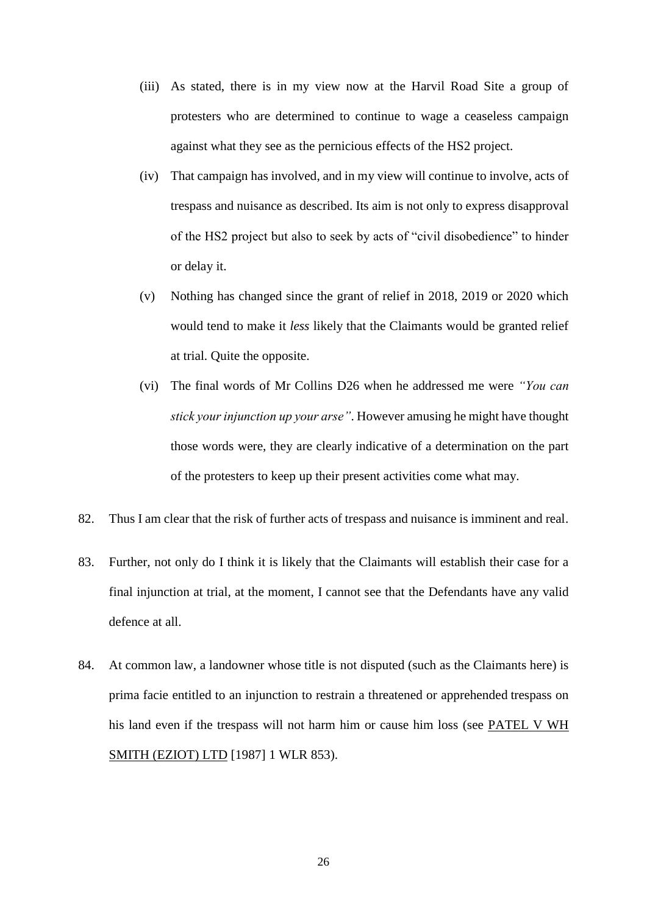- (iii) As stated, there is in my view now at the Harvil Road Site a group of protesters who are determined to continue to wage a ceaseless campaign against what they see as the pernicious effects of the HS2 project.
- (iv) That campaign has involved, and in my view will continue to involve, acts of trespass and nuisance as described. Its aim is not only to express disapproval of the HS2 project but also to seek by acts of "civil disobedience" to hinder or delay it.
- (v) Nothing has changed since the grant of relief in 2018, 2019 or 2020 which would tend to make it *less* likely that the Claimants would be granted relief at trial. Quite the opposite.
- (vi) The final words of Mr Collins D26 when he addressed me were *"You can stick your injunction up your arse"*. However amusing he might have thought those words were, they are clearly indicative of a determination on the part of the protesters to keep up their present activities come what may.
- 82. Thus I am clear that the risk of further acts of trespass and nuisance is imminent and real.
- 83. Further, not only do I think it is likely that the Claimants will establish their case for a final injunction at trial, at the moment, I cannot see that the Defendants have any valid defence at all.
- 84. At common law, a landowner whose title is not disputed (such as the Claimants here) is prima facie entitled to an injunction to restrain a threatened or apprehended trespass on his land even if the trespass will not harm him or cause him loss (see PATEL V WH SMITH (EZIOT) LTD [1987] 1 WLR 853).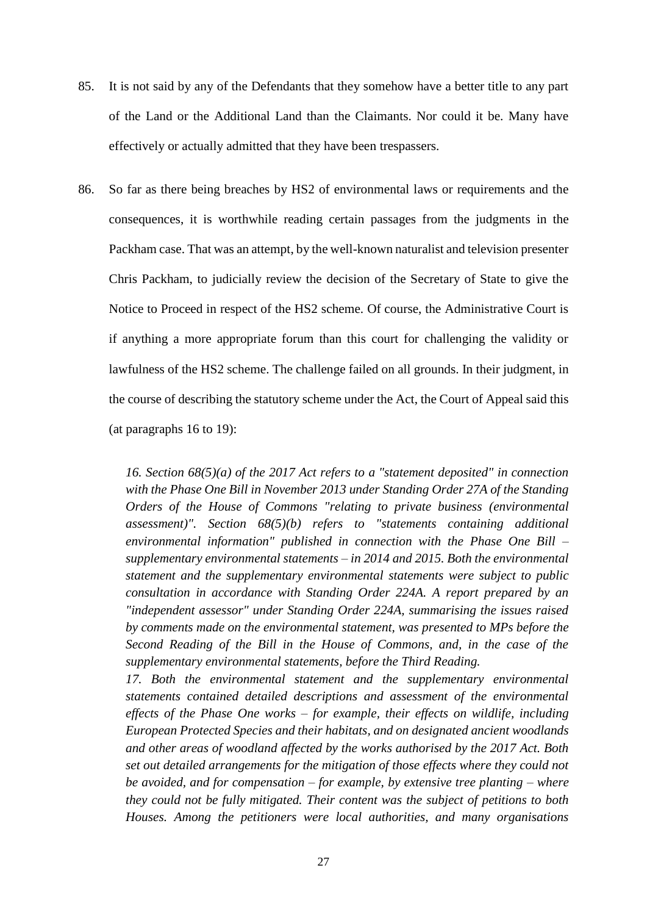- 85. It is not said by any of the Defendants that they somehow have a better title to any part of the Land or the Additional Land than the Claimants. Nor could it be. Many have effectively or actually admitted that they have been trespassers.
- 86. So far as there being breaches by HS2 of environmental laws or requirements and the consequences, it is worthwhile reading certain passages from the judgments in the Packham case. That was an attempt, by the well-known naturalist and television presenter Chris Packham, to judicially review the decision of the Secretary of State to give the Notice to Proceed in respect of the HS2 scheme. Of course, the Administrative Court is if anything a more appropriate forum than this court for challenging the validity or lawfulness of the HS2 scheme. The challenge failed on all grounds. In their judgment, in the course of describing the statutory scheme under the Act, the Court of Appeal said this (at paragraphs 16 to 19):

*16. Section 68(5)(a) of the 2017 Act refers to a "statement deposited" in connection with the Phase One Bill in November 2013 under Standing Order 27A of the Standing Orders of the House of Commons "relating to private business (environmental assessment)". Section 68(5)(b) refers to "statements containing additional environmental information" published in connection with the Phase One Bill – supplementary environmental statements – in 2014 and 2015. Both the environmental statement and the supplementary environmental statements were subject to public consultation in accordance with Standing Order 224A. A report prepared by an "independent assessor" under Standing Order 224A, summarising the issues raised by comments made on the environmental statement, was presented to MPs before the Second Reading of the Bill in the House of Commons, and, in the case of the supplementary environmental statements, before the Third Reading.* 

*17. Both the environmental statement and the supplementary environmental statements contained detailed descriptions and assessment of the environmental effects of the Phase One works – for example, their effects on wildlife, including European Protected Species and their habitats, and on designated ancient woodlands and other areas of woodland affected by the works authorised by the 2017 Act. Both set out detailed arrangements for the mitigation of those effects where they could not be avoided, and for compensation – for example, by extensive tree planting – where they could not be fully mitigated. Their content was the subject of petitions to both Houses. Among the petitioners were local authorities, and many organisations*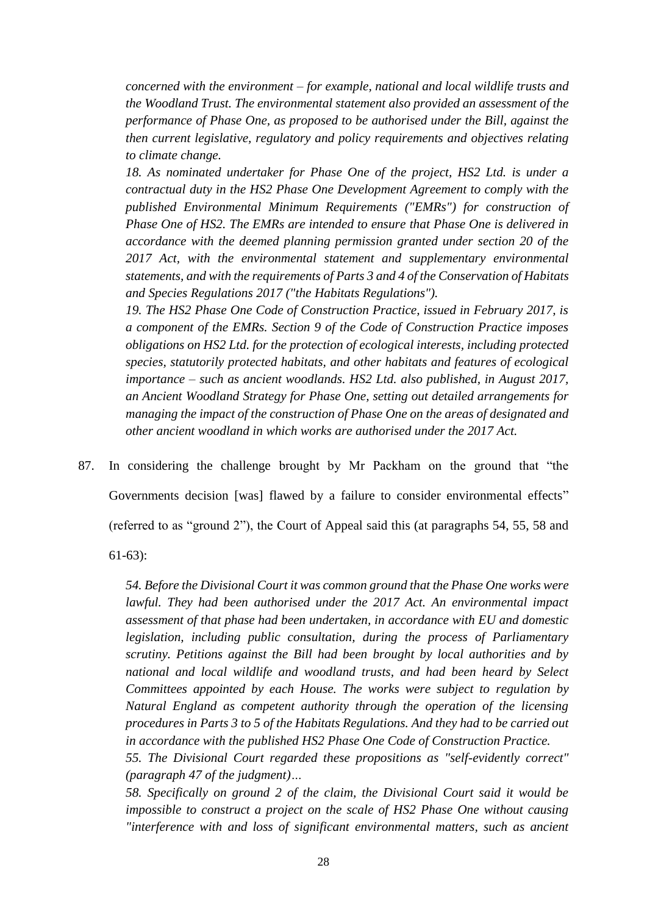*concerned with the environment – for example, national and local wildlife trusts and the Woodland Trust. The environmental statement also provided an assessment of the performance of Phase One, as proposed to be authorised under the Bill, against the then current legislative, regulatory and policy requirements and objectives relating to climate change.*

*18. As nominated undertaker for Phase One of the project, HS2 Ltd. is under a contractual duty in the HS2 Phase One Development Agreement to comply with the published Environmental Minimum Requirements ("EMRs") for construction of Phase One of HS2. The EMRs are intended to ensure that Phase One is delivered in accordance with the deemed planning permission granted under section 20 of the 2017 Act, with the environmental statement and supplementary environmental statements, and with the requirements of Parts 3 and 4 of the Conservation of Habitats and Species Regulations 2017 ("the Habitats Regulations").* 

*19. The HS2 Phase One Code of Construction Practice, issued in February 2017, is a component of the EMRs. Section 9 of the Code of Construction Practice imposes obligations on HS2 Ltd. for the protection of ecological interests, including protected species, statutorily protected habitats, and other habitats and features of ecological importance – such as ancient woodlands. HS2 Ltd. also published, in August 2017, an Ancient Woodland Strategy for Phase One, setting out detailed arrangements for managing the impact of the construction of Phase One on the areas of designated and other ancient woodland in which works are authorised under the 2017 Act.*

87. In considering the challenge brought by Mr Packham on the ground that "the Governments decision [was] flawed by a failure to consider environmental effects" (referred to as "ground 2"), the Court of Appeal said this (at paragraphs 54, 55, 58 and

61-63):

*54. Before the Divisional Court it was common ground that the Phase One works were lawful. They had been authorised under the 2017 Act. An environmental impact assessment of that phase had been undertaken, in accordance with EU and domestic legislation, including public consultation, during the process of Parliamentary scrutiny. Petitions against the Bill had been brought by local authorities and by national and local wildlife and woodland trusts, and had been heard by Select Committees appointed by each House. The works were subject to regulation by Natural England as competent authority through the operation of the licensing procedures in Parts 3 to 5 of the Habitats Regulations. And they had to be carried out in accordance with the published HS2 Phase One Code of Construction Practice.*

*55. The Divisional Court regarded these propositions as "self-evidently correct" (paragraph 47 of the judgment)…*

*58. Specifically on ground 2 of the claim, the Divisional Court said it would be impossible to construct a project on the scale of HS2 Phase One without causing "interference with and loss of significant environmental matters, such as ancient*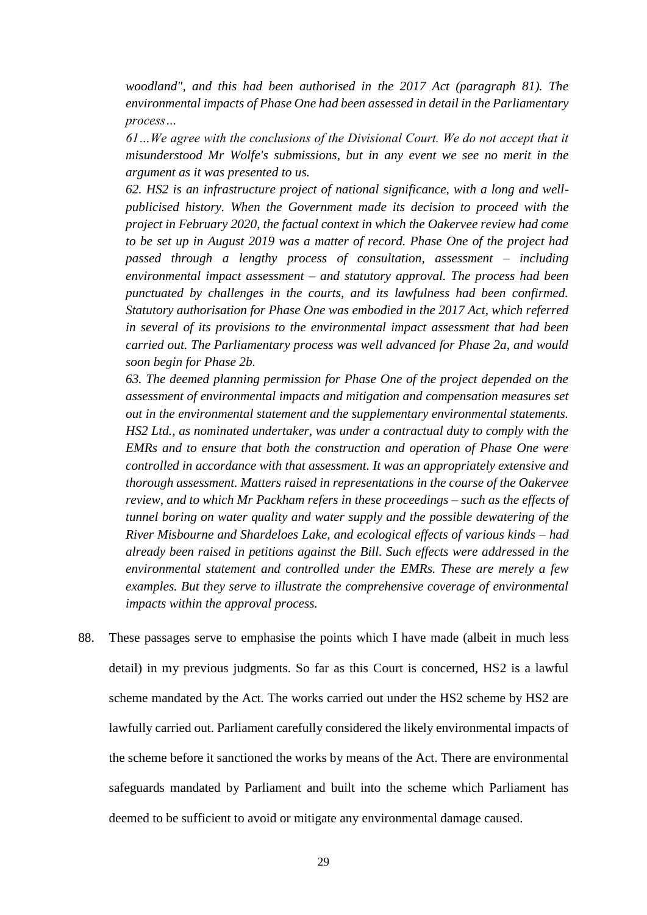*woodland", and this had been authorised in the 2017 Act (paragraph 81). The environmental impacts of Phase One had been assessed in detail in the Parliamentary process…*

*61…We agree with the conclusions of the Divisional Court. We do not accept that it misunderstood Mr Wolfe's submissions, but in any event we see no merit in the argument as it was presented to us.*

*62. HS2 is an infrastructure project of national significance, with a long and wellpublicised history. When the Government made its decision to proceed with the project in February 2020, the factual context in which the Oakervee review had come to be set up in August 2019 was a matter of record. Phase One of the project had passed through a lengthy process of consultation, assessment – including environmental impact assessment – and statutory approval. The process had been punctuated by challenges in the courts, and its lawfulness had been confirmed. Statutory authorisation for Phase One was embodied in the 2017 Act, which referred in several of its provisions to the environmental impact assessment that had been carried out. The Parliamentary process was well advanced for Phase 2a, and would soon begin for Phase 2b.*

*63. The deemed planning permission for Phase One of the project depended on the assessment of environmental impacts and mitigation and compensation measures set out in the environmental statement and the supplementary environmental statements. HS2 Ltd., as nominated undertaker, was under a contractual duty to comply with the EMRs and to ensure that both the construction and operation of Phase One were controlled in accordance with that assessment. It was an appropriately extensive and thorough assessment. Matters raised in representations in the course of the Oakervee review, and to which Mr Packham refers in these proceedings – such as the effects of tunnel boring on water quality and water supply and the possible dewatering of the River Misbourne and Shardeloes Lake, and ecological effects of various kinds – had already been raised in petitions against the Bill. Such effects were addressed in the environmental statement and controlled under the EMRs. These are merely a few examples. But they serve to illustrate the comprehensive coverage of environmental impacts within the approval process.*

88. These passages serve to emphasise the points which I have made (albeit in much less detail) in my previous judgments. So far as this Court is concerned, HS2 is a lawful scheme mandated by the Act. The works carried out under the HS2 scheme by HS2 are lawfully carried out. Parliament carefully considered the likely environmental impacts of the scheme before it sanctioned the works by means of the Act. There are environmental safeguards mandated by Parliament and built into the scheme which Parliament has deemed to be sufficient to avoid or mitigate any environmental damage caused.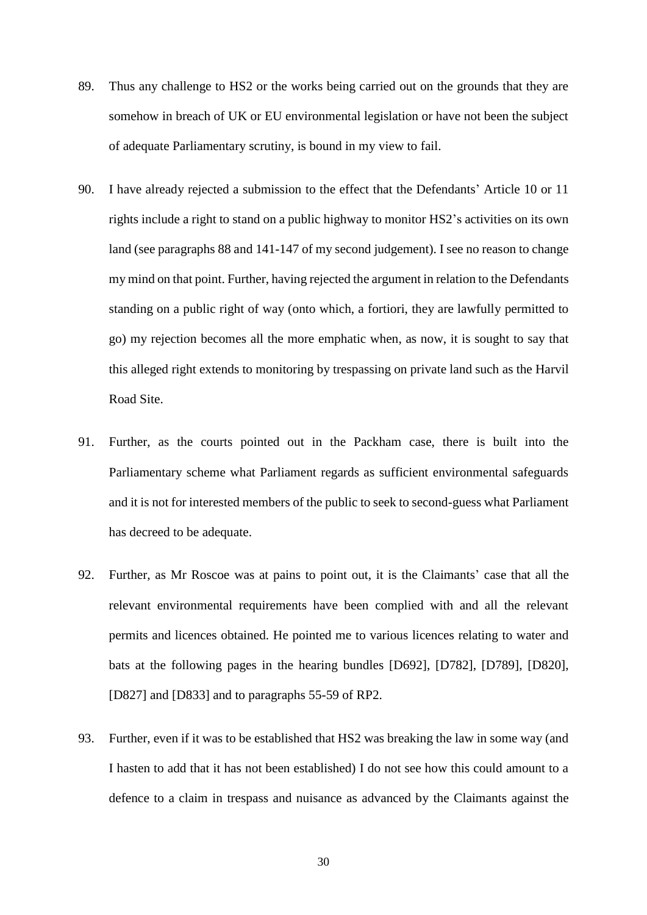- 89. Thus any challenge to HS2 or the works being carried out on the grounds that they are somehow in breach of UK or EU environmental legislation or have not been the subject of adequate Parliamentary scrutiny, is bound in my view to fail.
- 90. I have already rejected a submission to the effect that the Defendants' Article 10 or 11 rights include a right to stand on a public highway to monitor HS2's activities on its own land (see paragraphs 88 and 141-147 of my second judgement). I see no reason to change my mind on that point. Further, having rejected the argument in relation to the Defendants standing on a public right of way (onto which, a fortiori, they are lawfully permitted to go) my rejection becomes all the more emphatic when, as now, it is sought to say that this alleged right extends to monitoring by trespassing on private land such as the Harvil Road Site.
- 91. Further, as the courts pointed out in the Packham case, there is built into the Parliamentary scheme what Parliament regards as sufficient environmental safeguards and it is not for interested members of the public to seek to second-guess what Parliament has decreed to be adequate.
- 92. Further, as Mr Roscoe was at pains to point out, it is the Claimants' case that all the relevant environmental requirements have been complied with and all the relevant permits and licences obtained. He pointed me to various licences relating to water and bats at the following pages in the hearing bundles [D692], [D782], [D789], [D820], [D827] and [D833] and to paragraphs 55-59 of RP2.
- 93. Further, even if it was to be established that HS2 was breaking the law in some way (and I hasten to add that it has not been established) I do not see how this could amount to a defence to a claim in trespass and nuisance as advanced by the Claimants against the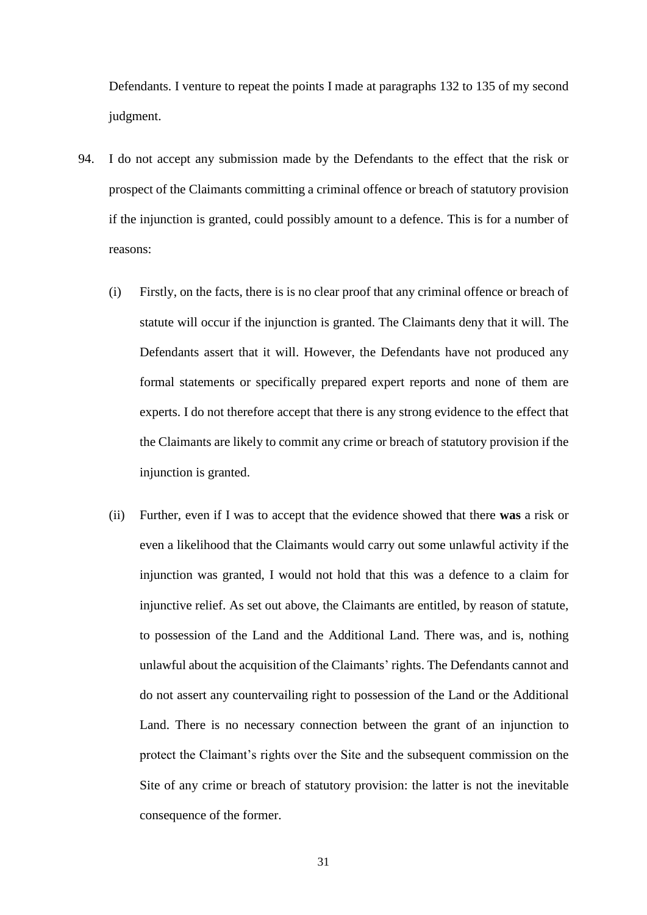Defendants. I venture to repeat the points I made at paragraphs 132 to 135 of my second judgment.

- 94. I do not accept any submission made by the Defendants to the effect that the risk or prospect of the Claimants committing a criminal offence or breach of statutory provision if the injunction is granted, could possibly amount to a defence. This is for a number of reasons:
	- (i) Firstly, on the facts, there is is no clear proof that any criminal offence or breach of statute will occur if the injunction is granted. The Claimants deny that it will. The Defendants assert that it will. However, the Defendants have not produced any formal statements or specifically prepared expert reports and none of them are experts. I do not therefore accept that there is any strong evidence to the effect that the Claimants are likely to commit any crime or breach of statutory provision if the injunction is granted.
	- (ii) Further, even if I was to accept that the evidence showed that there **was** a risk or even a likelihood that the Claimants would carry out some unlawful activity if the injunction was granted, I would not hold that this was a defence to a claim for injunctive relief. As set out above, the Claimants are entitled, by reason of statute, to possession of the Land and the Additional Land. There was, and is, nothing unlawful about the acquisition of the Claimants' rights. The Defendants cannot and do not assert any countervailing right to possession of the Land or the Additional Land. There is no necessary connection between the grant of an injunction to protect the Claimant's rights over the Site and the subsequent commission on the Site of any crime or breach of statutory provision: the latter is not the inevitable consequence of the former.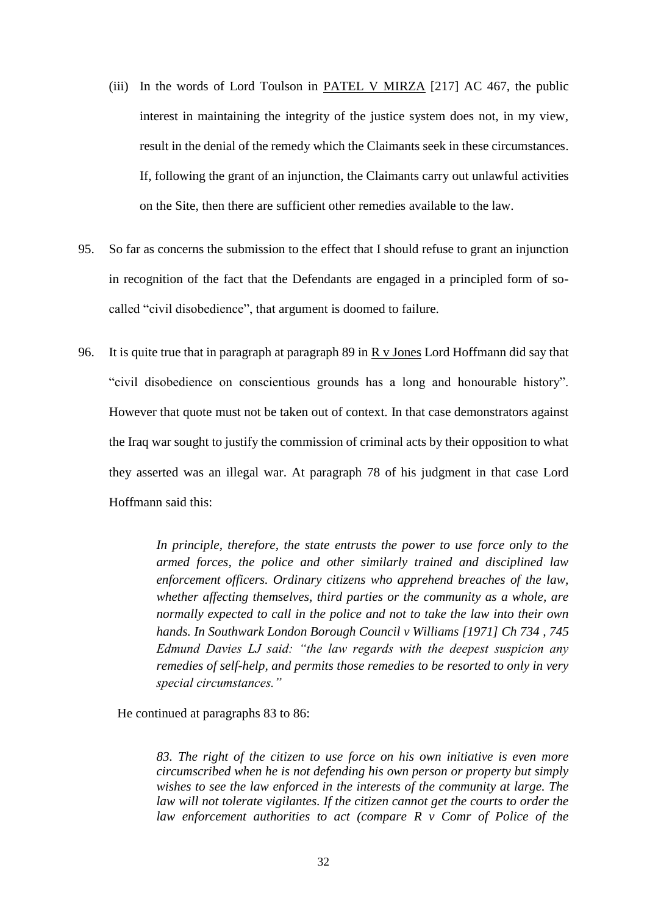- (iii) In the words of Lord Toulson in **PATEL V MIRZA** [217] AC 467, the public interest in maintaining the integrity of the justice system does not, in my view, result in the denial of the remedy which the Claimants seek in these circumstances. If, following the grant of an injunction, the Claimants carry out unlawful activities on the Site, then there are sufficient other remedies available to the law.
- 95. So far as concerns the submission to the effect that I should refuse to grant an injunction in recognition of the fact that the Defendants are engaged in a principled form of socalled "civil disobedience", that argument is doomed to failure.
- 96. It is quite true that in paragraph at paragraph 89 in R v Jones Lord Hoffmann did say that "civil disobedience on conscientious grounds has a long and honourable history". However that quote must not be taken out of context. In that case demonstrators against the Iraq war sought to justify the commission of criminal acts by their opposition to what they asserted was an illegal war. At paragraph 78 of his judgment in that case Lord Hoffmann said this:

In principle, therefore, the state entrusts the power to use force only to the *armed forces, the police and other similarly trained and disciplined law enforcement officers. Ordinary citizens who apprehend breaches of the law, whether affecting themselves, third parties or the community as a whole, are normally expected to call in the police and not to take the law into their own hands. In Southwark London Borough Council v Williams [1971] Ch 734 , 745 Edmund Davies LJ said: "the law regards with the deepest suspicion any remedies of self-help, and permits those remedies to be resorted to only in very special circumstances."* 

He continued at paragraphs 83 to 86:

*83. The right of the citizen to use force on his own initiative is even more circumscribed when he is not defending his own person or property but simply wishes to see the law enforced in the interests of the community at large. The*  law will not tolerate vigilantes. If the citizen cannot get the courts to order the *law enforcement authorities to act (compare R v Comr of Police of the*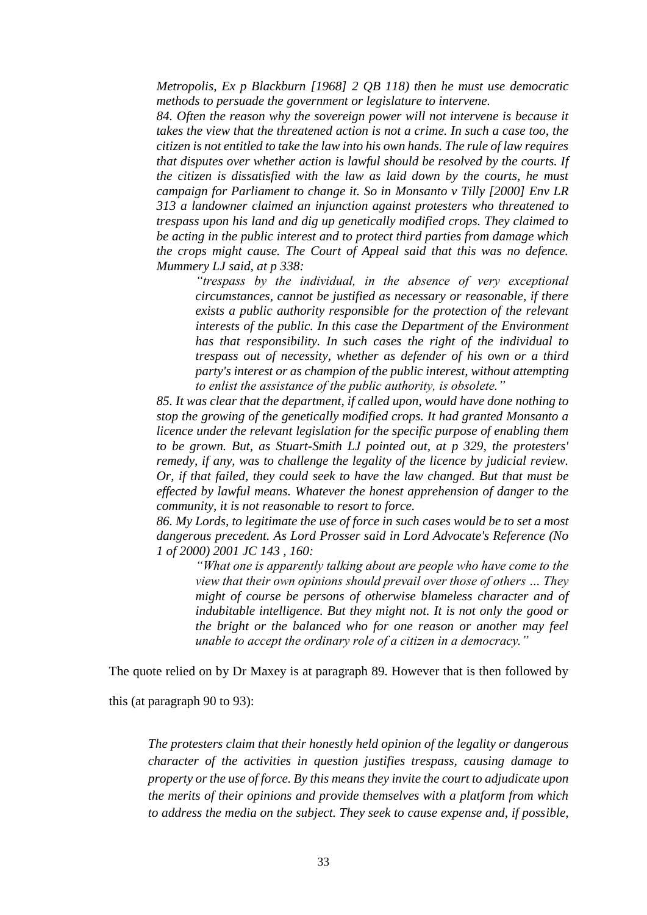*Metropolis, Ex p Blackburn [1968] 2 QB 118) then he must use democratic methods to persuade the government or legislature to intervene.* 

*84. Often the reason why the sovereign power will not intervene is because it takes the view that the threatened action is not a crime. In such a case too, the citizen is not entitled to take the law into his own hands. The rule of law requires that disputes over whether action is lawful should be resolved by the courts. If the citizen is dissatisfied with the law as laid down by the courts, he must campaign for Parliament to change it. So in Monsanto v Tilly [2000] Env LR 313 a landowner claimed an injunction against protesters who threatened to trespass upon his land and dig up genetically modified crops. They claimed to be acting in the public interest and to protect third parties from damage which the crops might cause. The Court of Appeal said that this was no defence. Mummery LJ said, at p 338:* 

*"trespass by the individual, in the absence of very exceptional circumstances, cannot be justified as necessary or reasonable, if there exists a public authority responsible for the protection of the relevant interests of the public. In this case the Department of the Environment has that responsibility. In such cases the right of the individual to trespass out of necessity, whether as defender of his own or a third party's interest or as champion of the public interest, without attempting to enlist the assistance of the public authority, is obsolete."*

*85. It was clear that the department, if called upon, would have done nothing to stop the growing of the genetically modified crops. It had granted Monsanto a licence under the relevant legislation for the specific purpose of enabling them to be grown. But, as Stuart-Smith LJ pointed out, at p 329, the protesters' remedy, if any, was to challenge the legality of the licence by judicial review. Or, if that failed, they could seek to have the law changed. But that must be effected by lawful means. Whatever the honest apprehension of danger to the community, it is not reasonable to resort to force.* 

*86. My Lords, to legitimate the use of force in such cases would be to set a most dangerous precedent. As Lord Prosser said in Lord Advocate's Reference (No 1 of 2000) 2001 JC 143 , 160:* 

*"What one is apparently talking about are people who have come to the view that their own opinions should prevail over those of others … They might of course be persons of otherwise blameless character and of indubitable intelligence. But they might not. It is not only the good or the bright or the balanced who for one reason or another may feel unable to accept the ordinary role of a citizen in a democracy."*

The quote relied on by Dr Maxey is at paragraph 89. However that is then followed by

this (at paragraph 90 to 93):

*The protesters claim that their honestly held opinion of the legality or dangerous character of the activities in question justifies trespass, causing damage to property or the use of force. By this means they invite the court to adjudicate upon the merits of their opinions and provide themselves with a platform from which to address the media on the subject. They seek to cause expense and, if possible,*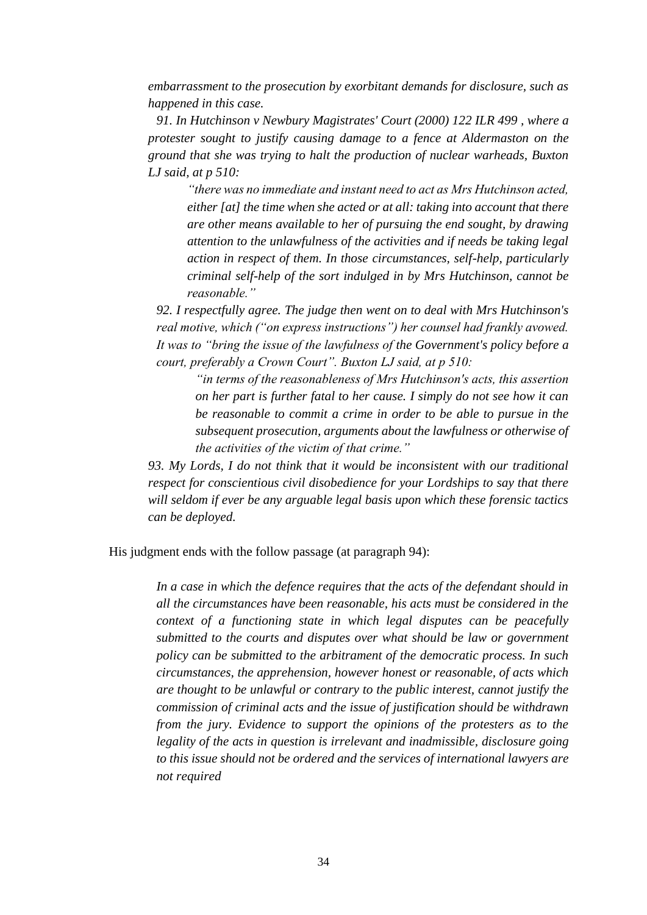*embarrassment to the prosecution by exorbitant demands for disclosure, such as happened in this case.* 

*91. In Hutchinson v Newbury Magistrates' Court (2000) 122 ILR 499 , where a protester sought to justify causing damage to a fence at Aldermaston on the ground that she was trying to halt the production of nuclear warheads, Buxton LJ said, at p 510:* 

*"there was no immediate and instant need to act as Mrs Hutchinson acted, either [at] the time when she acted or at all: taking into account that there are other means available to her of pursuing the end sought, by drawing attention to the unlawfulness of the activities and if needs be taking legal action in respect of them. In those circumstances, self-help, particularly criminal self-help of the sort indulged in by Mrs Hutchinson, cannot be reasonable."*

*92. I respectfully agree. The judge then went on to deal with Mrs Hutchinson's real motive, which ("on express instructions") her counsel had frankly avowed. It was to "bring the issue of the lawfulness of the Government's policy before a court, preferably a Crown Court". Buxton LJ said, at p 510:* 

*"in terms of the reasonableness of Mrs Hutchinson's acts, this assertion on her part is further fatal to her cause. I simply do not see how it can be reasonable to commit a crime in order to be able to pursue in the subsequent prosecution, arguments about the lawfulness or otherwise of the activities of the victim of that crime."*

*93. My Lords, I do not think that it would be inconsistent with our traditional respect for conscientious civil disobedience for your Lordships to say that there will seldom if ever be any arguable legal basis upon which these forensic tactics can be deployed.*

His judgment ends with the follow passage (at paragraph 94):

*In a case in which the defence requires that the acts of the defendant should in all the circumstances have been reasonable, his acts must be considered in the context of a functioning state in which legal disputes can be peacefully submitted to the courts and disputes over what should be law or government policy can be submitted to the arbitrament of the democratic process. In such circumstances, the apprehension, however honest or reasonable, of acts which are thought to be unlawful or contrary to the public interest, cannot justify the commission of criminal acts and the issue of justification should be withdrawn from the jury. Evidence to support the opinions of the protesters as to the legality of the acts in question is irrelevant and inadmissible, disclosure going to this issue should not be ordered and the services of international lawyers are not required*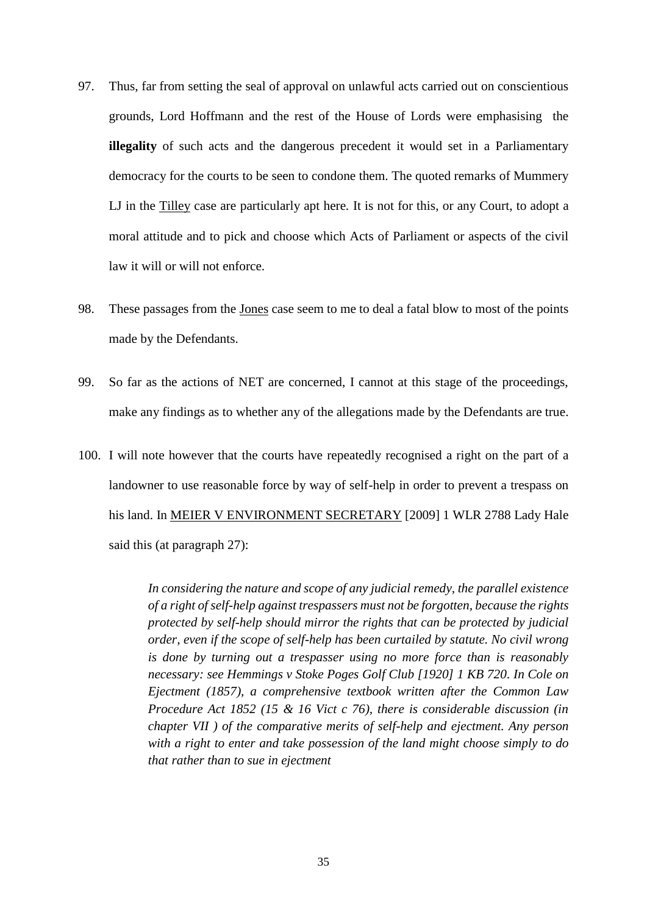- 97. Thus, far from setting the seal of approval on unlawful acts carried out on conscientious grounds, Lord Hoffmann and the rest of the House of Lords were emphasising the **illegality** of such acts and the dangerous precedent it would set in a Parliamentary democracy for the courts to be seen to condone them. The quoted remarks of Mummery LJ in the Tilley case are particularly apt here*.* It is not for this, or any Court, to adopt a moral attitude and to pick and choose which Acts of Parliament or aspects of the civil law it will or will not enforce.
- 98. These passages from the Jones case seem to me to deal a fatal blow to most of the points made by the Defendants.
- 99. So far as the actions of NET are concerned, I cannot at this stage of the proceedings, make any findings as to whether any of the allegations made by the Defendants are true.
- 100. I will note however that the courts have repeatedly recognised a right on the part of a landowner to use reasonable force by way of self-help in order to prevent a trespass on his land. In MEIER V ENVIRONMENT SECRETARY [2009] 1 WLR 2788 Lady Hale said this (at paragraph 27):

*In considering the nature and scope of any judicial remedy, the parallel existence of a right of self-help against trespassers must not be forgotten, because the rights protected by self-help should mirror the rights that can be protected by judicial order, even if the scope of self-help has been curtailed by statute. No civil wrong is done by turning out a trespasser using no more force than is reasonably necessary: see Hemmings v Stoke Poges Golf Club [1920] 1 KB 720. In Cole on Ejectment (1857), a comprehensive textbook written after the Common Law Procedure Act 1852 (15 & 16 Vict c 76), there is considerable discussion (in chapter VII ) of the comparative merits of self-help and ejectment. Any person with a right to enter and take possession of the land might choose simply to do that rather than to sue in ejectment*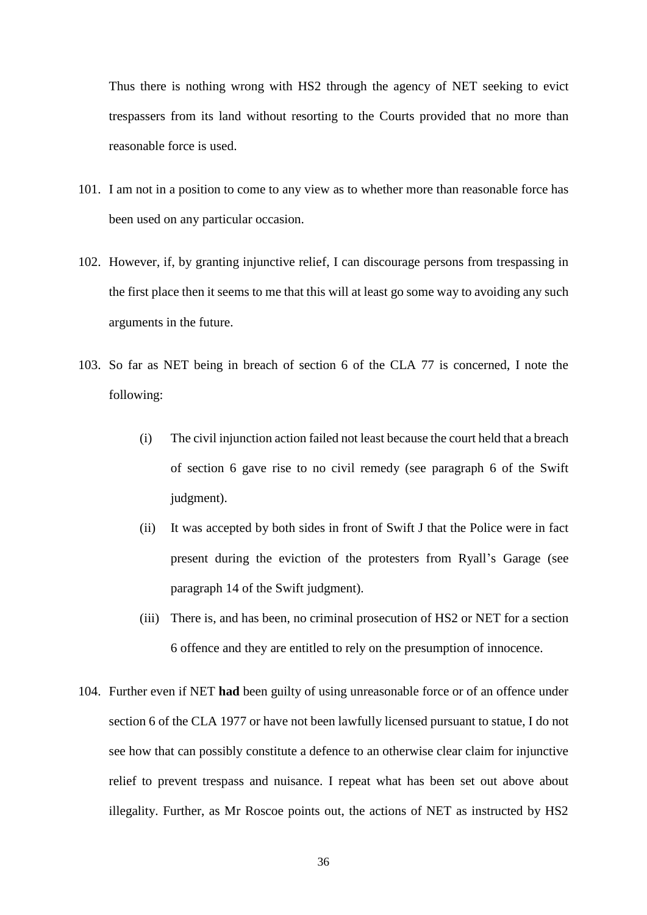Thus there is nothing wrong with HS2 through the agency of NET seeking to evict trespassers from its land without resorting to the Courts provided that no more than reasonable force is used.

- 101. I am not in a position to come to any view as to whether more than reasonable force has been used on any particular occasion.
- 102. However, if, by granting injunctive relief, I can discourage persons from trespassing in the first place then it seems to me that this will at least go some way to avoiding any such arguments in the future.
- 103. So far as NET being in breach of section 6 of the CLA 77 is concerned, I note the following:
	- (i) The civil injunction action failed not least because the court held that a breach of section 6 gave rise to no civil remedy (see paragraph 6 of the Swift judgment).
	- (ii) It was accepted by both sides in front of Swift J that the Police were in fact present during the eviction of the protesters from Ryall's Garage (see paragraph 14 of the Swift judgment).
	- (iii) There is, and has been, no criminal prosecution of HS2 or NET for a section 6 offence and they are entitled to rely on the presumption of innocence.
- 104. Further even if NET **had** been guilty of using unreasonable force or of an offence under section 6 of the CLA 1977 or have not been lawfully licensed pursuant to statue, I do not see how that can possibly constitute a defence to an otherwise clear claim for injunctive relief to prevent trespass and nuisance. I repeat what has been set out above about illegality. Further, as Mr Roscoe points out, the actions of NET as instructed by HS2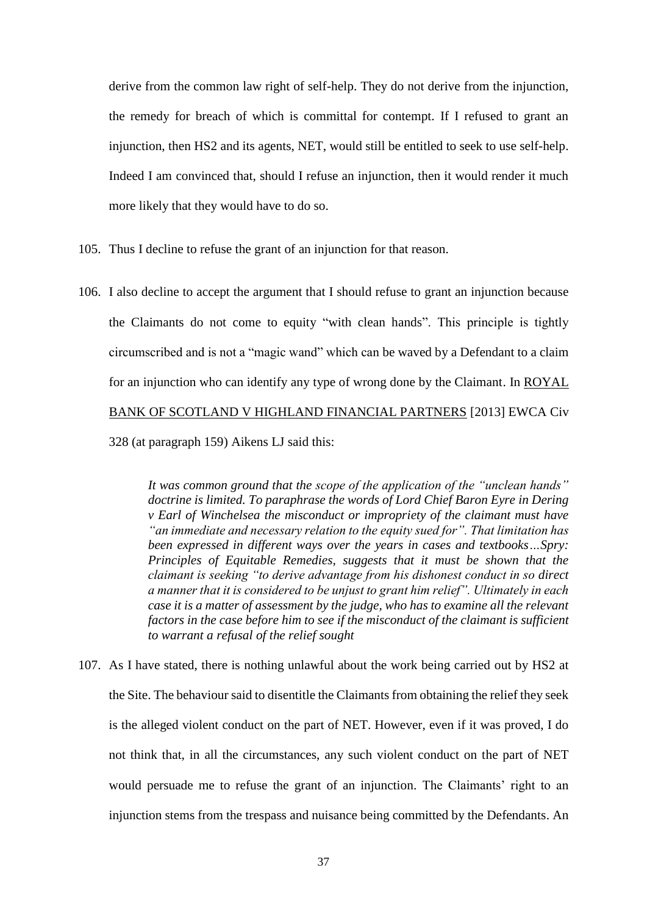derive from the common law right of self-help. They do not derive from the injunction, the remedy for breach of which is committal for contempt. If I refused to grant an injunction, then HS2 and its agents, NET, would still be entitled to seek to use self-help. Indeed I am convinced that, should I refuse an injunction, then it would render it much more likely that they would have to do so.

- 105. Thus I decline to refuse the grant of an injunction for that reason.
- 106. I also decline to accept the argument that I should refuse to grant an injunction because the Claimants do not come to equity "with clean hands". This principle is tightly circumscribed and is not a "magic wand" which can be waved by a Defendant to a claim for an injunction who can identify any type of wrong done by the Claimant. In ROYAL BANK OF SCOTLAND V HIGHLAND FINANCIAL PARTNERS [2013] EWCA Civ 328 (at paragraph 159) Aikens LJ said this:

*It was common ground that the scope of the application of the "unclean hands" doctrine is limited. To paraphrase the words of Lord Chief Baron Eyre in Dering v Earl of Winchelsea the misconduct or impropriety of the claimant must have "an immediate and necessary relation to the equity sued for". That limitation has been expressed in different ways over the years in cases and textbooks…Spry: Principles of Equitable Remedies, suggests that it must be shown that the claimant is seeking "to derive advantage from his dishonest conduct in so direct a manner that it is considered to be unjust to grant him relief". Ultimately in each case it is a matter of assessment by the judge, who has to examine all the relevant factors in the case before him to see if the misconduct of the claimant is sufficient to warrant a refusal of the relief sought*

107. As I have stated, there is nothing unlawful about the work being carried out by HS2 at the Site. The behaviour said to disentitle the Claimants from obtaining the relief they seek is the alleged violent conduct on the part of NET. However, even if it was proved, I do not think that, in all the circumstances, any such violent conduct on the part of NET would persuade me to refuse the grant of an injunction. The Claimants' right to an injunction stems from the trespass and nuisance being committed by the Defendants. An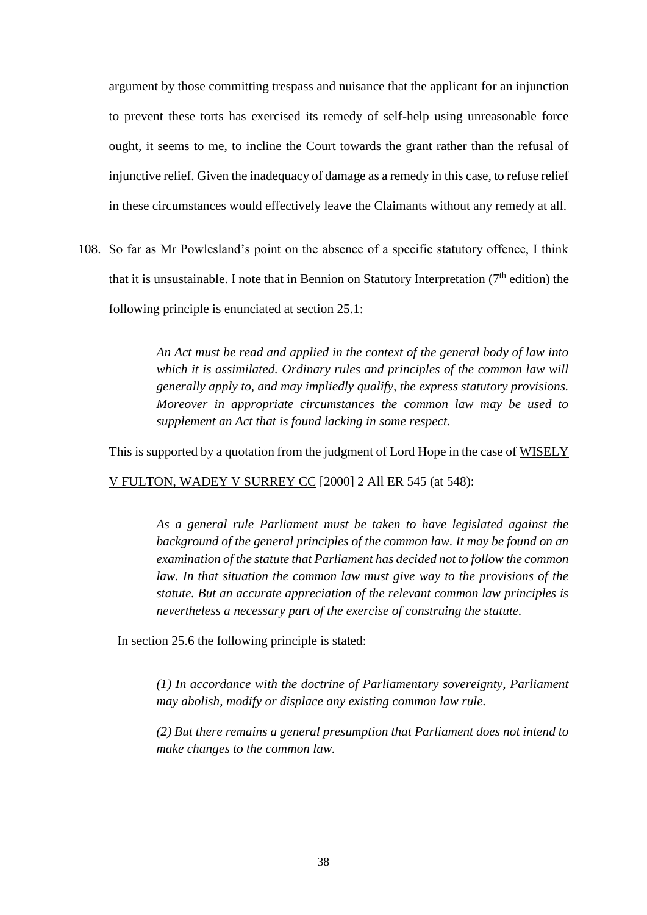argument by those committing trespass and nuisance that the applicant for an injunction to prevent these torts has exercised its remedy of self-help using unreasonable force ought, it seems to me, to incline the Court towards the grant rather than the refusal of injunctive relief. Given the inadequacy of damage as a remedy in this case, to refuse relief in these circumstances would effectively leave the Claimants without any remedy at all.

108. So far as Mr Powlesland's point on the absence of a specific statutory offence, I think that it is unsustainable. I note that in Bennion on Statutory Interpretation ( $7<sup>th</sup>$  edition) the following principle is enunciated at section 25.1:

> *An Act must be read and applied in the context of the general body of law into which it is assimilated. Ordinary rules and principles of the common law will generally apply to, and may impliedly qualify, the express statutory provisions. Moreover in appropriate circumstances the common law may be used to supplement an Act that is found lacking in some respect.*

This is supported by a quotation from the judgment of Lord Hope in the case of WISELY

# V FULTON, WADEY V SURREY CC [2000] 2 All ER 545 (at 548):

*As a general rule Parliament must be taken to have legislated against the background of the general principles of the common law. It may be found on an examination of the statute that Parliament has decided not to follow the common*  law. In that situation the common law must give way to the provisions of the *statute. But an accurate appreciation of the relevant common law principles is nevertheless a necessary part of the exercise of construing the statute.*

In section 25.6 the following principle is stated:

*(1) In accordance with the doctrine of Parliamentary sovereignty, Parliament may abolish, modify or displace any existing common law rule.*

*(2) But there remains a general presumption that Parliament does not intend to make changes to the common law.*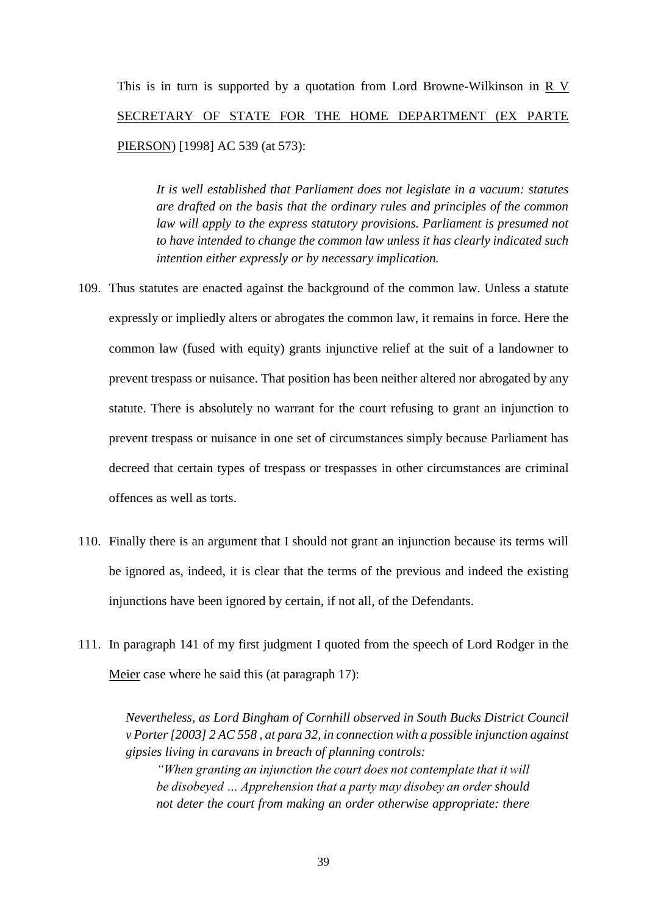This is in turn is supported by a quotation from Lord Browne-Wilkinson in  $R V$ SECRETARY OF STATE FOR THE HOME DEPARTMENT (EX PARTE PIERSON) [1998] AC 539 (at 573):

*It is well established that Parliament does not legislate in a vacuum: statutes are drafted on the basis that the ordinary rules and principles of the common law will apply to the express statutory provisions. Parliament is presumed not to have intended to change the common law unless it has clearly indicated such intention either expressly or by necessary implication.*

- 109. Thus statutes are enacted against the background of the common law. Unless a statute expressly or impliedly alters or abrogates the common law, it remains in force. Here the common law (fused with equity) grants injunctive relief at the suit of a landowner to prevent trespass or nuisance. That position has been neither altered nor abrogated by any statute. There is absolutely no warrant for the court refusing to grant an injunction to prevent trespass or nuisance in one set of circumstances simply because Parliament has decreed that certain types of trespass or trespasses in other circumstances are criminal offences as well as torts.
- 110. Finally there is an argument that I should not grant an injunction because its terms will be ignored as, indeed, it is clear that the terms of the previous and indeed the existing injunctions have been ignored by certain, if not all, of the Defendants.
- 111. In paragraph 141 of my first judgment I quoted from the speech of Lord Rodger in the Meier case where he said this (at paragraph 17):

*Nevertheless, as Lord Bingham of Cornhill observed in South Bucks District Council v Porter [2003] 2 AC 558 , at para 32, in connection with a possible injunction against gipsies living in caravans in breach of planning controls:* 

*"When granting an injunction the court does not contemplate that it will be disobeyed … Apprehension that a party may disobey an order should not deter the court from making an order otherwise appropriate: there*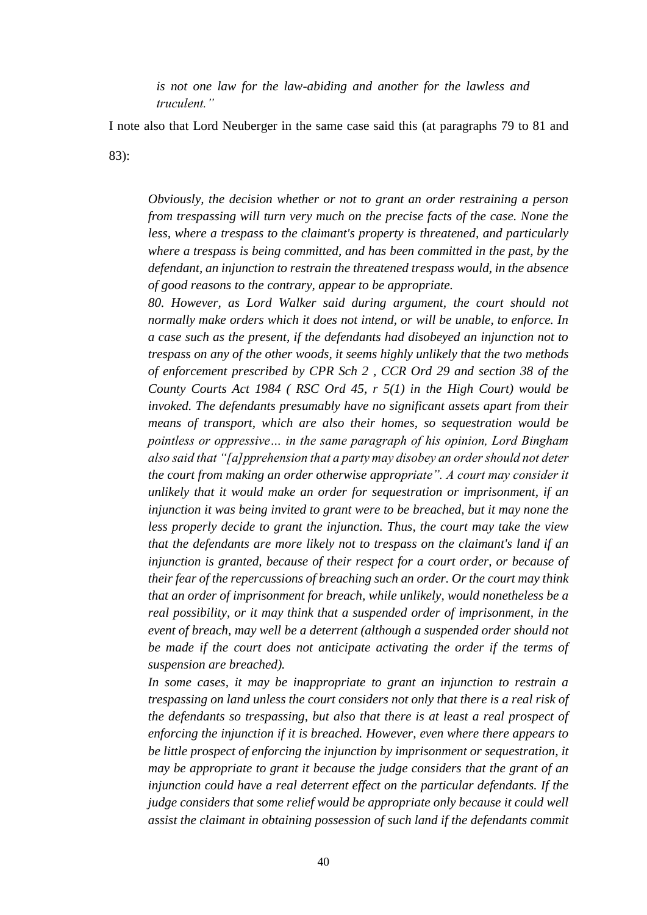*is not one law for the law-abiding and another for the lawless and truculent."*

I note also that Lord Neuberger in the same case said this (at paragraphs 79 to 81 and

83):

*Obviously, the decision whether or not to grant an order restraining a person from trespassing will turn very much on the precise facts of the case. None the less, where a trespass to the claimant's property is threatened, and particularly where a trespass is being committed, and has been committed in the past, by the defendant, an injunction to restrain the threatened trespass would, in the absence of good reasons to the contrary, appear to be appropriate.*

*80. However, as Lord Walker said during argument, the court should not normally make orders which it does not intend, or will be unable, to enforce. In a case such as the present, if the defendants had disobeyed an injunction not to trespass on any of the other woods, it seems highly unlikely that the two methods of enforcement prescribed by CPR Sch 2 , CCR Ord 29 and section 38 of the County Courts Act 1984 ( RSC Ord 45, r 5(1) in the High Court) would be invoked. The defendants presumably have no significant assets apart from their means of transport, which are also their homes, so sequestration would be pointless or oppressive… in the same paragraph of his opinion, Lord Bingham also said that "[a]pprehension that a party may disobey an order should not deter the court from making an order otherwise appropriate". A court may consider it unlikely that it would make an order for sequestration or imprisonment, if an injunction it was being invited to grant were to be breached, but it may none the less properly decide to grant the injunction. Thus, the court may take the view that the defendants are more likely not to trespass on the claimant's land if an injunction is granted, because of their respect for a court order, or because of their fear of the repercussions of breaching such an order. Or the court may think that an order of imprisonment for breach, while unlikely, would nonetheless be a real possibility, or it may think that a suspended order of imprisonment, in the event of breach, may well be a deterrent (although a suspended order should not be made if the court does not anticipate activating the order if the terms of suspension are breached).*

*In some cases, it may be inappropriate to grant an injunction to restrain a trespassing on land unless the court considers not only that there is a real risk of the defendants so trespassing, but also that there is at least a real prospect of enforcing the injunction if it is breached. However, even where there appears to be little prospect of enforcing the injunction by imprisonment or sequestration, it may be appropriate to grant it because the judge considers that the grant of an injunction could have a real deterrent effect on the particular defendants. If the judge considers that some relief would be appropriate only because it could well assist the claimant in obtaining possession of such land if the defendants commit*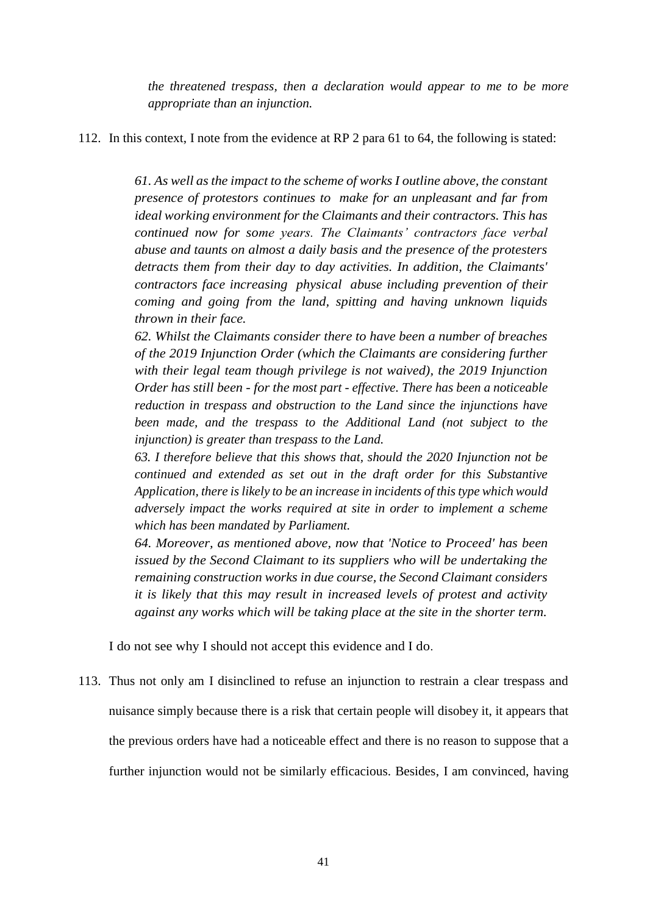*the threatened trespass, then a declaration would appear to me to be more appropriate than an injunction.*

112. In this context, I note from the evidence at RP 2 para 61 to 64, the following is stated:

*61. As well as the impact to the scheme of works I outline above, the constant presence of protestors continues to make for an unpleasant and far from ideal working environment for the Claimants and their contractors. This has continued now for some years. The Claimants' contractors face verbal abuse and taunts on almost a daily basis and the presence of the protesters detracts them from their day to day activities. In addition, the Claimants' contractors face increasing physical abuse including prevention of their coming and going from the land, spitting and having unknown liquids thrown in their face.*

*62. Whilst the Claimants consider there to have been a number of breaches of the 2019 Injunction Order (which the Claimants are considering further with their legal team though privilege is not waived), the 2019 Injunction Order has still been - for the most part - effective. There has been a noticeable reduction in trespass and obstruction to the Land since the injunctions have been made, and the trespass to the Additional Land (not subject to the injunction) is greater than trespass to the Land.*

*63. I therefore believe that this shows that, should the 2020 Injunction not be continued and extended as set out in the draft order for this Substantive Application, there is likely to be an increase in incidents of this type which would adversely impact the works required at site in order to implement a scheme which has been mandated by Parliament.*

*64. Moreover, as mentioned above, now that 'Notice to Proceed' has been issued by the Second Claimant to its suppliers who will be undertaking the remaining construction works in due course, the Second Claimant considers it is likely that this may result in increased levels of protest and activity against any works which will be taking place at the site in the shorter term.*

I do not see why I should not accept this evidence and I do.

113. Thus not only am I disinclined to refuse an injunction to restrain a clear trespass and nuisance simply because there is a risk that certain people will disobey it, it appears that the previous orders have had a noticeable effect and there is no reason to suppose that a further injunction would not be similarly efficacious. Besides, I am convinced, having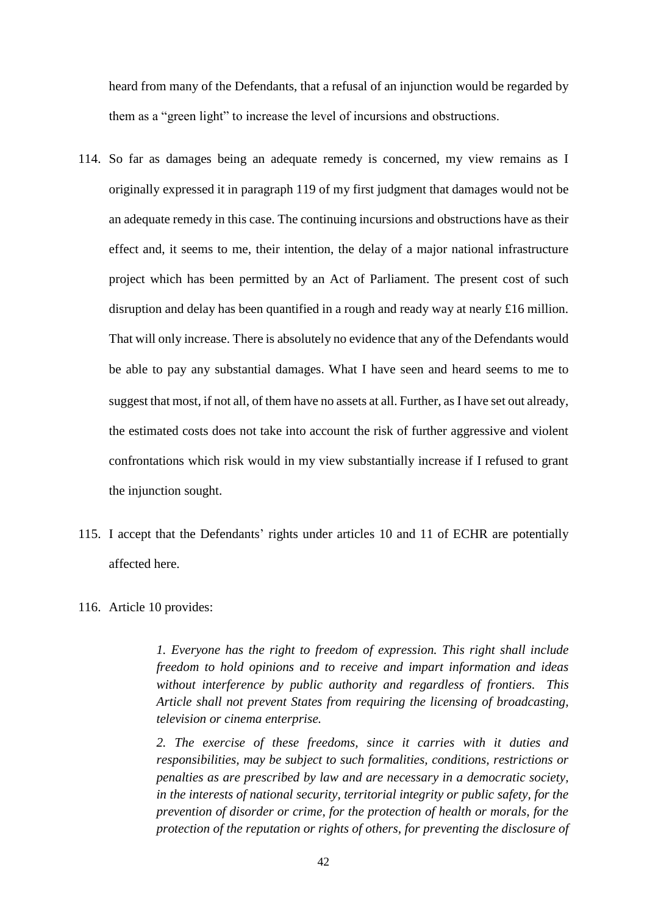heard from many of the Defendants, that a refusal of an injunction would be regarded by them as a "green light" to increase the level of incursions and obstructions.

- 114. So far as damages being an adequate remedy is concerned, my view remains as I originally expressed it in paragraph 119 of my first judgment that damages would not be an adequate remedy in this case. The continuing incursions and obstructions have as their effect and, it seems to me, their intention, the delay of a major national infrastructure project which has been permitted by an Act of Parliament. The present cost of such disruption and delay has been quantified in a rough and ready way at nearly £16 million. That will only increase. There is absolutely no evidence that any of the Defendants would be able to pay any substantial damages. What I have seen and heard seems to me to suggest that most, if not all, of them have no assets at all. Further, as I have set out already, the estimated costs does not take into account the risk of further aggressive and violent confrontations which risk would in my view substantially increase if I refused to grant the injunction sought.
- 115. I accept that the Defendants' rights under articles 10 and 11 of ECHR are potentially affected here.
- 116. Article 10 provides:

*1. Everyone has the right to freedom of expression. This right shall include freedom to hold opinions and to receive and impart information and ideas without interference by public authority and regardless of frontiers. This Article shall not prevent States from requiring the licensing of broadcasting, television or cinema enterprise.*

*2. The exercise of these freedoms, since it carries with it duties and responsibilities, may be subject to such formalities, conditions, restrictions or penalties as are prescribed by law and are necessary in a democratic society, in the interests of national security, territorial integrity or public safety, for the prevention of disorder or crime, for the protection of health or morals, for the protection of the reputation or rights of others, for preventing the disclosure of*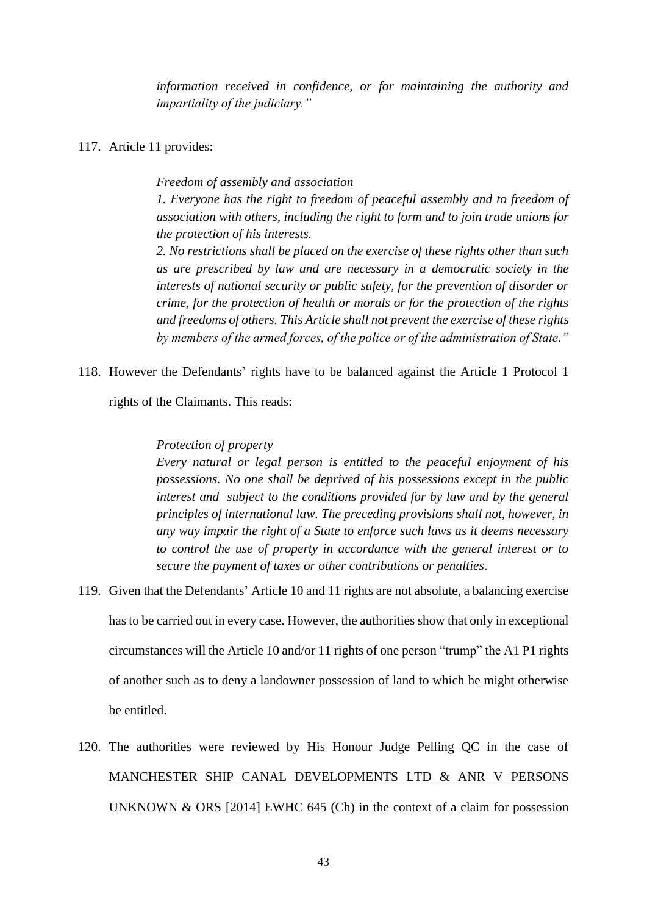*information received in confidence, or for maintaining the authority and impartiality of the judiciary."*

117. Article 11 provides:

*Freedom of assembly and association*

*1. Everyone has the right to freedom of peaceful assembly and to freedom of association with others, including the right to form and to join trade unions for the protection of his interests.*

*2. No restrictions shall be placed on the exercise of these rights other than such as are prescribed by law and are necessary in a democratic society in the interests of national security or public safety, for the prevention of disorder or crime, for the protection of health or morals or for the protection of the rights and freedoms of others. This Article shall not prevent the exercise of these rights by members of the armed forces, of the police or of the administration of State."*

118. However the Defendants' rights have to be balanced against the Article 1 Protocol 1

rights of the Claimants. This reads:

### *Protection of property*

*Every natural or legal person is entitled to the peaceful enjoyment of his possessions. No one shall be deprived of his possessions except in the public interest and subject to the conditions provided for by law and by the general principles of international law. The preceding provisions shall not, however, in any way impair the right of a State to enforce such laws as it deems necessary to control the use of property in accordance with the general interest or to secure the payment of taxes or other contributions or penalties*.

119. Given that the Defendants' Article 10 and 11 rights are not absolute, a balancing exercise

has to be carried out in every case. However, the authorities show that only in exceptional

circumstances will the Article 10 and/or 11 rights of one person "trump" the A1 P1 rights

of another such as to deny a landowner possession of land to which he might otherwise be entitled.

120. The authorities were reviewed by His Honour Judge Pelling QC in the case of MANCHESTER SHIP CANAL DEVELOPMENTS LTD & ANR V PERSONS UNKNOWN & ORS [2014] EWHC 645 (Ch) in the context of a claim for possession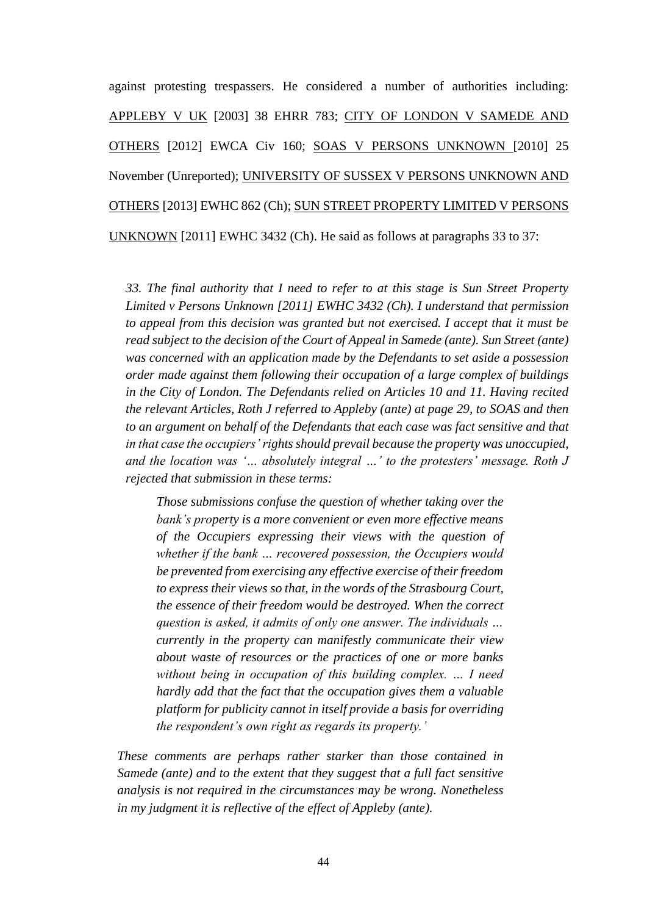against protesting trespassers. He considered a number of authorities including: APPLEBY V UK [2003] 38 EHRR 783; CITY OF LONDON V SAMEDE AND OTHERS [2012] EWCA Civ 160; SOAS V PERSONS UNKNOWN [2010] 25 November (Unreported); UNIVERSITY OF SUSSEX V PERSONS UNKNOWN AND OTHERS [2013] EWHC 862 (Ch); SUN STREET PROPERTY LIMITED V PERSONS UNKNOWN [2011] EWHC 3432 (Ch). He said as follows at paragraphs 33 to 37:

*33. The final authority that I need to refer to at this stage is Sun Street Property Limited v Persons Unknown [2011] EWHC 3432 (Ch). I understand that permission to appeal from this decision was granted but not exercised. I accept that it must be read subject to the decision of the Court of Appeal in Samede (ante). Sun Street (ante) was concerned with an application made by the Defendants to set aside a possession order made against them following their occupation of a large complex of buildings in the City of London. The Defendants relied on Articles 10 and 11. Having recited the relevant Articles, Roth J referred to Appleby (ante) at page 29, to SOAS and then to an argument on behalf of the Defendants that each case was fact sensitive and that in that case the occupiers' rights should prevail because the property was unoccupied, and the location was '… absolutely integral …' to the protesters' message. Roth J rejected that submission in these terms:*

*Those submissions confuse the question of whether taking over the bank's property is a more convenient or even more effective means of the Occupiers expressing their views with the question of whether if the bank … recovered possession, the Occupiers would be prevented from exercising any effective exercise of their freedom to express their views so that, in the words of the Strasbourg Court, the essence of their freedom would be destroyed. When the correct question is asked, it admits of only one answer. The individuals … currently in the property can manifestly communicate their view about waste of resources or the practices of one or more banks without being in occupation of this building complex. … I need hardly add that the fact that the occupation gives them a valuable platform for publicity cannot in itself provide a basis for overriding the respondent's own right as regards its property.'*

*These comments are perhaps rather starker than those contained in Samede (ante) and to the extent that they suggest that a full fact sensitive analysis is not required in the circumstances may be wrong. Nonetheless in my judgment it is reflective of the effect of Appleby (ante).*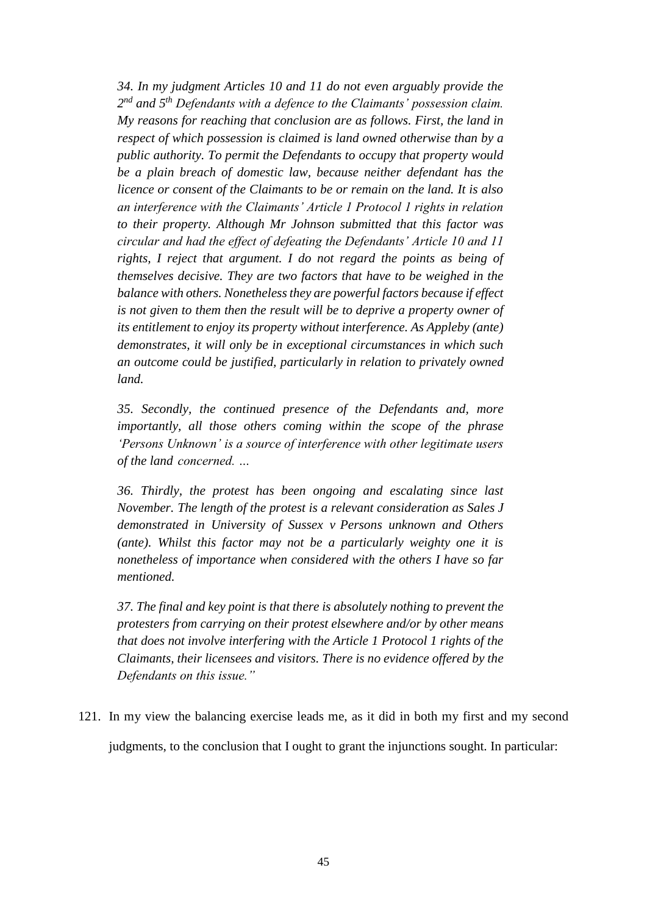*34. In my judgment Articles 10 and 11 do not even arguably provide the 2 nd and 5th Defendants with a defence to the Claimants' possession claim. My reasons for reaching that conclusion are as follows. First, the land in respect of which possession is claimed is land owned otherwise than by a public authority. To permit the Defendants to occupy that property would be a plain breach of domestic law, because neither defendant has the licence or consent of the Claimants to be or remain on the land. It is also an interference with the Claimants' Article 1 Protocol 1 rights in relation to their property. Although Mr Johnson submitted that this factor was circular and had the effect of defeating the Defendants' Article 10 and 11 rights, I reject that argument. I do not regard the points as being of themselves decisive. They are two factors that have to be weighed in the balance with others. Nonetheless they are powerful factors because if effect is not given to them then the result will be to deprive a property owner of its entitlement to enjoy its property without interference. As Appleby (ante) demonstrates, it will only be in exceptional circumstances in which such an outcome could be justified, particularly in relation to privately owned land.*

*35. Secondly, the continued presence of the Defendants and, more importantly, all those others coming within the scope of the phrase 'Persons Unknown' is a source of interference with other legitimate users of the land concerned. …*

*36. Thirdly, the protest has been ongoing and escalating since last November. The length of the protest is a relevant consideration as Sales J demonstrated in University of Sussex v Persons unknown and Others (ante). Whilst this factor may not be a particularly weighty one it is nonetheless of importance when considered with the others I have so far mentioned.*

*37. The final and key point is that there is absolutely nothing to prevent the protesters from carrying on their protest elsewhere and/or by other means that does not involve interfering with the Article 1 Protocol 1 rights of the Claimants, their licensees and visitors. There is no evidence offered by the Defendants on this issue."*

121. In my view the balancing exercise leads me, as it did in both my first and my second judgments, to the conclusion that I ought to grant the injunctions sought. In particular: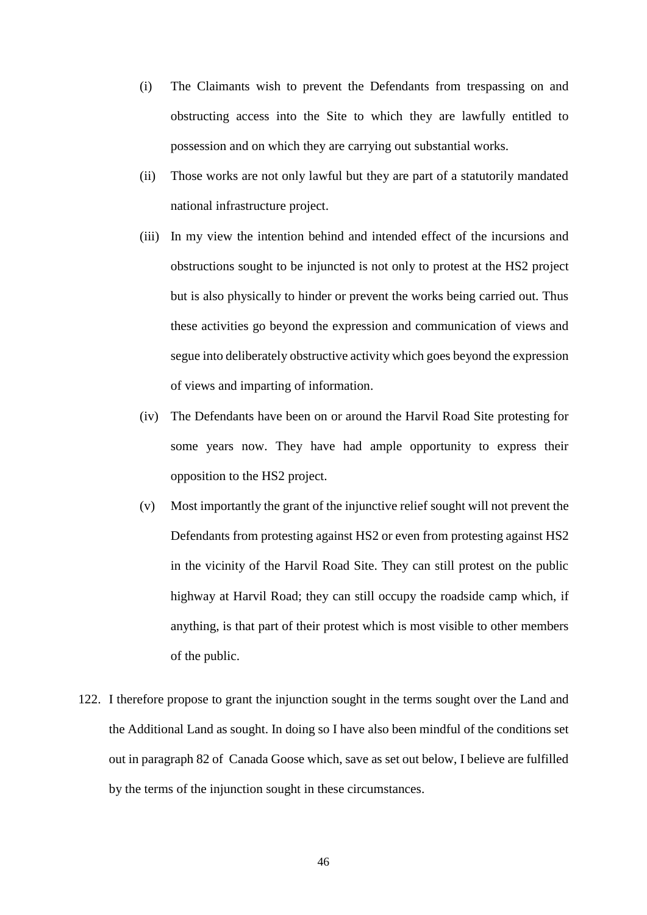- (i) The Claimants wish to prevent the Defendants from trespassing on and obstructing access into the Site to which they are lawfully entitled to possession and on which they are carrying out substantial works.
- (ii) Those works are not only lawful but they are part of a statutorily mandated national infrastructure project.
- (iii) In my view the intention behind and intended effect of the incursions and obstructions sought to be injuncted is not only to protest at the HS2 project but is also physically to hinder or prevent the works being carried out. Thus these activities go beyond the expression and communication of views and segue into deliberately obstructive activity which goes beyond the expression of views and imparting of information.
- (iv) The Defendants have been on or around the Harvil Road Site protesting for some years now. They have had ample opportunity to express their opposition to the HS2 project.
- (v) Most importantly the grant of the injunctive relief sought will not prevent the Defendants from protesting against HS2 or even from protesting against HS2 in the vicinity of the Harvil Road Site. They can still protest on the public highway at Harvil Road; they can still occupy the roadside camp which, if anything, is that part of their protest which is most visible to other members of the public.
- 122. I therefore propose to grant the injunction sought in the terms sought over the Land and the Additional Land as sought. In doing so I have also been mindful of the conditions set out in paragraph 82 of Canada Goose which, save as set out below, I believe are fulfilled by the terms of the injunction sought in these circumstances.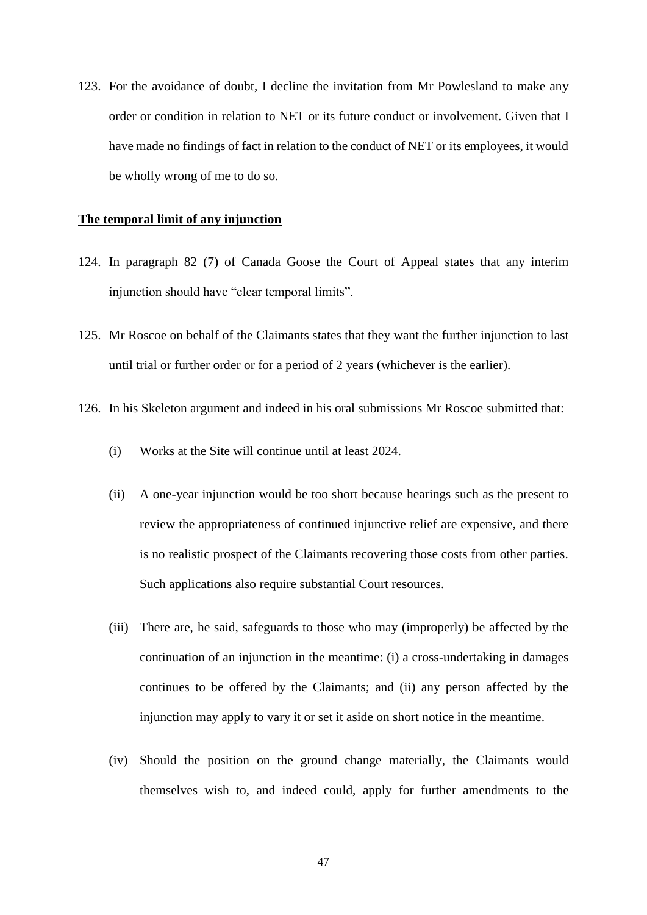123. For the avoidance of doubt, I decline the invitation from Mr Powlesland to make any order or condition in relation to NET or its future conduct or involvement. Given that I have made no findings of fact in relation to the conduct of NET or its employees, it would be wholly wrong of me to do so.

#### **The temporal limit of any injunction**

- 124. In paragraph 82 (7) of Canada Goose the Court of Appeal states that any interim injunction should have "clear temporal limits".
- 125. Mr Roscoe on behalf of the Claimants states that they want the further injunction to last until trial or further order or for a period of 2 years (whichever is the earlier).
- 126. In his Skeleton argument and indeed in his oral submissions Mr Roscoe submitted that:
	- (i) Works at the Site will continue until at least 2024.
	- (ii) A one-year injunction would be too short because hearings such as the present to review the appropriateness of continued injunctive relief are expensive, and there is no realistic prospect of the Claimants recovering those costs from other parties. Such applications also require substantial Court resources.
	- (iii) There are, he said, safeguards to those who may (improperly) be affected by the continuation of an injunction in the meantime: (i) a cross-undertaking in damages continues to be offered by the Claimants; and (ii) any person affected by the injunction may apply to vary it or set it aside on short notice in the meantime.
	- (iv) Should the position on the ground change materially, the Claimants would themselves wish to, and indeed could, apply for further amendments to the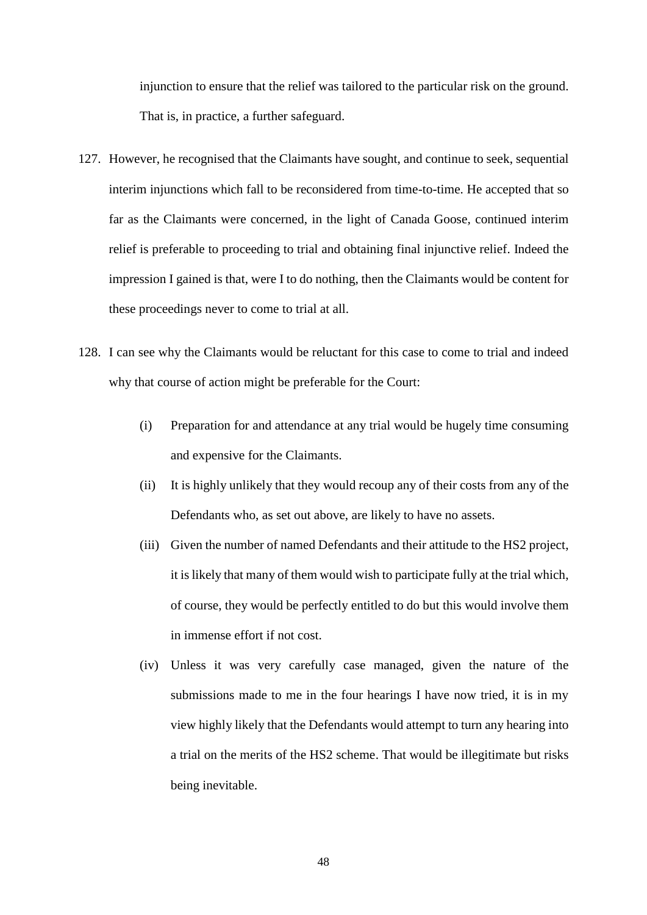injunction to ensure that the relief was tailored to the particular risk on the ground. That is, in practice, a further safeguard.

- 127. However, he recognised that the Claimants have sought, and continue to seek, sequential interim injunctions which fall to be reconsidered from time-to-time. He accepted that so far as the Claimants were concerned, in the light of Canada Goose*,* continued interim relief is preferable to proceeding to trial and obtaining final injunctive relief. Indeed the impression I gained is that, were I to do nothing, then the Claimants would be content for these proceedings never to come to trial at all.
- 128. I can see why the Claimants would be reluctant for this case to come to trial and indeed why that course of action might be preferable for the Court:
	- (i) Preparation for and attendance at any trial would be hugely time consuming and expensive for the Claimants.
	- (ii) It is highly unlikely that they would recoup any of their costs from any of the Defendants who, as set out above, are likely to have no assets.
	- (iii) Given the number of named Defendants and their attitude to the HS2 project, it is likely that many of them would wish to participate fully at the trial which, of course, they would be perfectly entitled to do but this would involve them in immense effort if not cost.
	- (iv) Unless it was very carefully case managed, given the nature of the submissions made to me in the four hearings I have now tried, it is in my view highly likely that the Defendants would attempt to turn any hearing into a trial on the merits of the HS2 scheme. That would be illegitimate but risks being inevitable.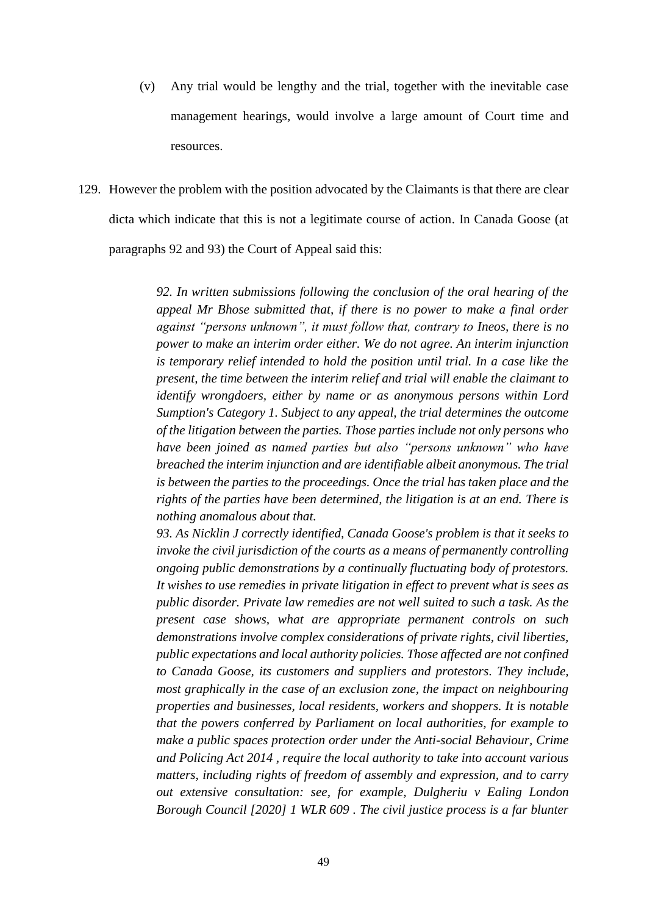- (v) Any trial would be lengthy and the trial, together with the inevitable case management hearings, would involve a large amount of Court time and resources.
- 129. However the problem with the position advocated by the Claimants is that there are clear dicta which indicate that this is not a legitimate course of action. In Canada Goose (at paragraphs 92 and 93) the Court of Appeal said this:

*92. In written submissions following the conclusion of the oral hearing of the appeal Mr Bhose submitted that, if there is no power to make a final order against "persons unknown", it must follow that, contrary to Ineos, there is no power to make an interim order either. We do not agree. An interim injunction is temporary relief intended to hold the position until trial. In a case like the present, the time between the interim relief and trial will enable the claimant to identify wrongdoers, either by name or as anonymous persons within Lord Sumption's Category 1. Subject to any appeal, the trial determines the outcome of the litigation between the parties. Those parties include not only persons who have been joined as named parties but also "persons unknown" who have breached the interim injunction and are identifiable albeit anonymous. The trial is between the parties to the proceedings. Once the trial has taken place and the rights of the parties have been determined, the litigation is at an end. There is nothing anomalous about that.* 

*93. As Nicklin J correctly identified, Canada Goose's problem is that it seeks to invoke the civil jurisdiction of the courts as a means of permanently controlling ongoing public demonstrations by a continually fluctuating body of protestors. It wishes to use remedies in private litigation in effect to prevent what is sees as public disorder. Private law remedies are not well suited to such a task. As the present case shows, what are appropriate permanent controls on such demonstrations involve complex considerations of private rights, civil liberties, public expectations and local authority policies. Those affected are not confined to Canada Goose, its customers and suppliers and protestors. They include, most graphically in the case of an exclusion zone, the impact on neighbouring properties and businesses, local residents, workers and shoppers. It is notable that the powers conferred by Parliament on local authorities, for example to make a public spaces protection order under the Anti-social Behaviour, Crime and Policing Act 2014 , require the local authority to take into account various matters, including rights of freedom of assembly and expression, and to carry out extensive consultation: see, for example, Dulgheriu v Ealing London Borough Council [2020] 1 WLR 609 . The civil justice process is a far blunter*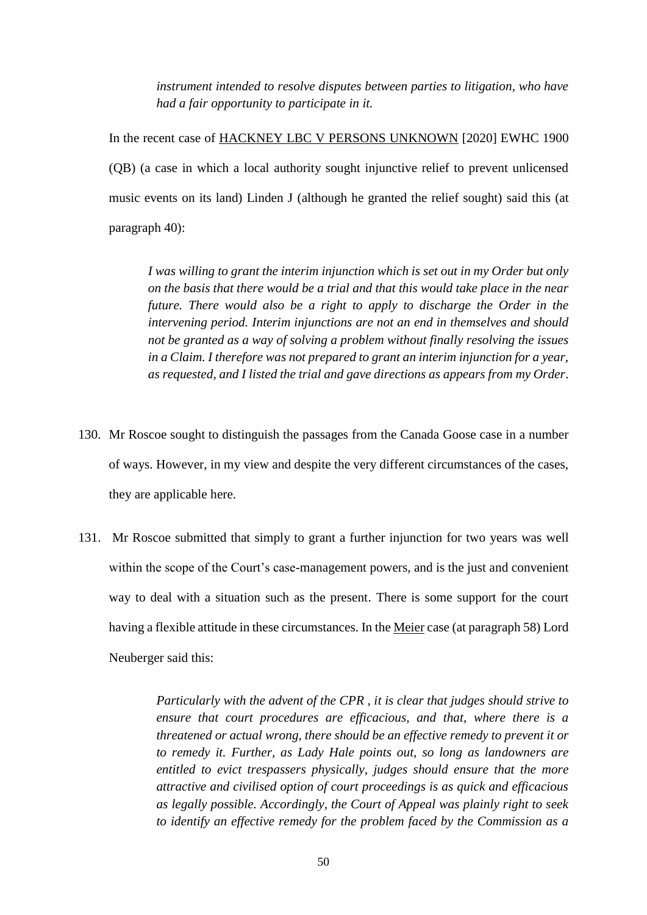*instrument intended to resolve disputes between parties to litigation, who have had a fair opportunity to participate in it.*

In the recent case of HACKNEY LBC V PERSONS UNKNOWN [2020] EWHC 1900 (QB) (a case in which a local authority sought injunctive relief to prevent unlicensed music events on its land) Linden J (although he granted the relief sought) said this (at paragraph 40):

*I was willing to grant the interim injunction which is set out in my Order but only on the basis that there would be a trial and that this would take place in the near future. There would also be a right to apply to discharge the Order in the intervening period. Interim injunctions are not an end in themselves and should not be granted as a way of solving a problem without finally resolving the issues in a Claim. I therefore was not prepared to grant an interim injunction for a year, as requested, and I listed the trial and gave directions as appears from my Order*.

- 130. Mr Roscoe sought to distinguish the passages from the Canada Goose case in a number of ways. However, in my view and despite the very different circumstances of the cases, they are applicable here.
- 131. Mr Roscoe submitted that simply to grant a further injunction for two years was well within the scope of the Court's case-management powers, and is the just and convenient way to deal with a situation such as the present. There is some support for the court having a flexible attitude in these circumstances. In the Meier case (at paragraph 58) Lord Neuberger said this:

*Particularly with the advent of the CPR , it is clear that judges should strive to ensure that court procedures are efficacious, and that, where there is a threatened or actual wrong, there should be an effective remedy to prevent it or to remedy it. Further, as Lady Hale points out, so long as landowners are entitled to evict trespassers physically, judges should ensure that the more attractive and civilised option of court proceedings is as quick and efficacious as legally possible. Accordingly, the Court of Appeal was plainly right to seek to identify an effective remedy for the problem faced by the Commission as a*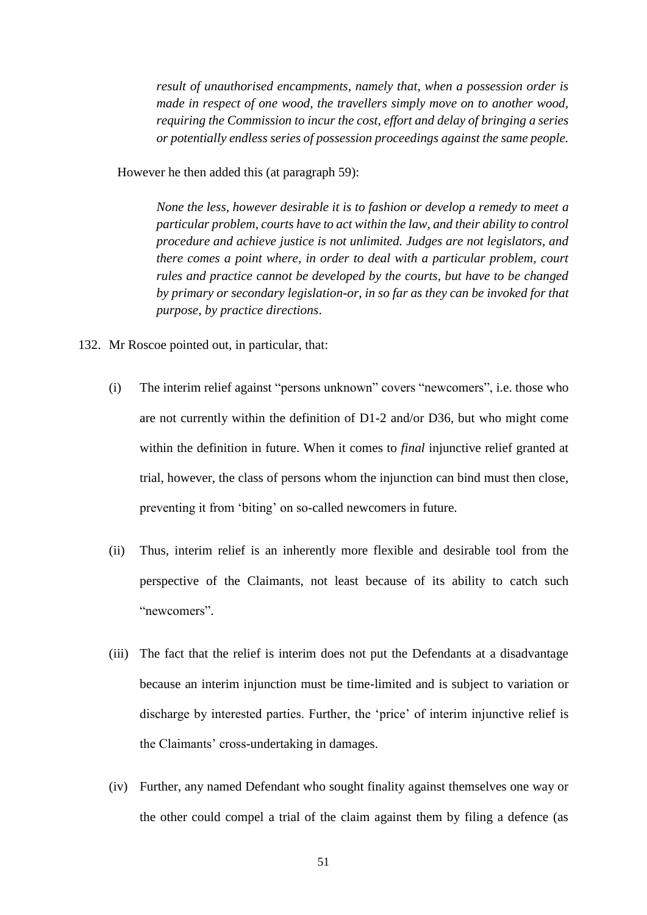*result of unauthorised encampments, namely that, when a possession order is made in respect of one wood, the travellers simply move on to another wood, requiring the Commission to incur the cost, effort and delay of bringing a series or potentially endless series of possession proceedings against the same people.*

However he then added this (at paragraph 59):

*None the less, however desirable it is to fashion or develop a remedy to meet a particular problem, courts have to act within the law, and their ability to control procedure and achieve justice is not unlimited. Judges are not legislators, and there comes a point where, in order to deal with a particular problem, court rules and practice cannot be developed by the courts, but have to be changed by primary or secondary legislation-or, in so far as they can be invoked for that purpose, by practice directions*.

- 132. Mr Roscoe pointed out, in particular, that:
	- (i) The interim relief against "persons unknown" covers "newcomers", i.e. those who are not currently within the definition of D1-2 and/or D36, but who might come within the definition in future. When it comes to *final* injunctive relief granted at trial, however, the class of persons whom the injunction can bind must then close, preventing it from 'biting' on so-called newcomers in future.
	- (ii) Thus, interim relief is an inherently more flexible and desirable tool from the perspective of the Claimants, not least because of its ability to catch such "newcomers".
	- (iii) The fact that the relief is interim does not put the Defendants at a disadvantage because an interim injunction must be time-limited and is subject to variation or discharge by interested parties. Further, the 'price' of interim injunctive relief is the Claimants' cross-undertaking in damages.
	- (iv) Further, any named Defendant who sought finality against themselves one way or the other could compel a trial of the claim against them by filing a defence (as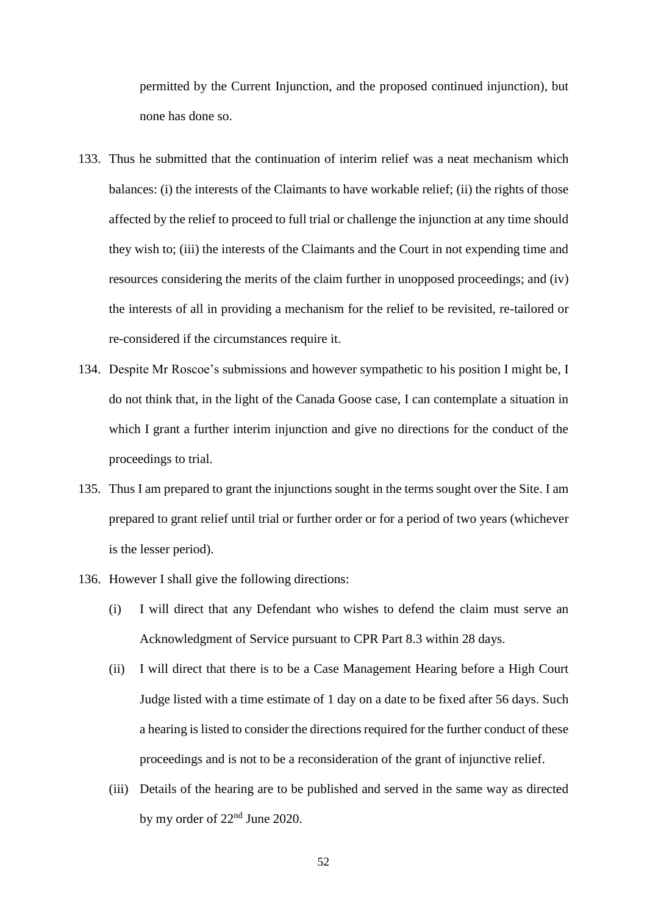permitted by the Current Injunction, and the proposed continued injunction), but none has done so.

- 133. Thus he submitted that the continuation of interim relief was a neat mechanism which balances: (i) the interests of the Claimants to have workable relief; (ii) the rights of those affected by the relief to proceed to full trial or challenge the injunction at any time should they wish to; (iii) the interests of the Claimants and the Court in not expending time and resources considering the merits of the claim further in unopposed proceedings; and (iv) the interests of all in providing a mechanism for the relief to be revisited, re-tailored or re-considered if the circumstances require it.
- 134. Despite Mr Roscoe's submissions and however sympathetic to his position I might be, I do not think that, in the light of the Canada Goose case, I can contemplate a situation in which I grant a further interim injunction and give no directions for the conduct of the proceedings to trial.
- 135. Thus I am prepared to grant the injunctions sought in the terms sought over the Site. I am prepared to grant relief until trial or further order or for a period of two years (whichever is the lesser period).
- 136. However I shall give the following directions:
	- (i) I will direct that any Defendant who wishes to defend the claim must serve an Acknowledgment of Service pursuant to CPR Part 8.3 within 28 days.
	- (ii) I will direct that there is to be a Case Management Hearing before a High Court Judge listed with a time estimate of 1 day on a date to be fixed after 56 days. Such a hearing is listed to consider the directions required for the further conduct of these proceedings and is not to be a reconsideration of the grant of injunctive relief.
	- (iii) Details of the hearing are to be published and served in the same way as directed by my order of 22nd June 2020.